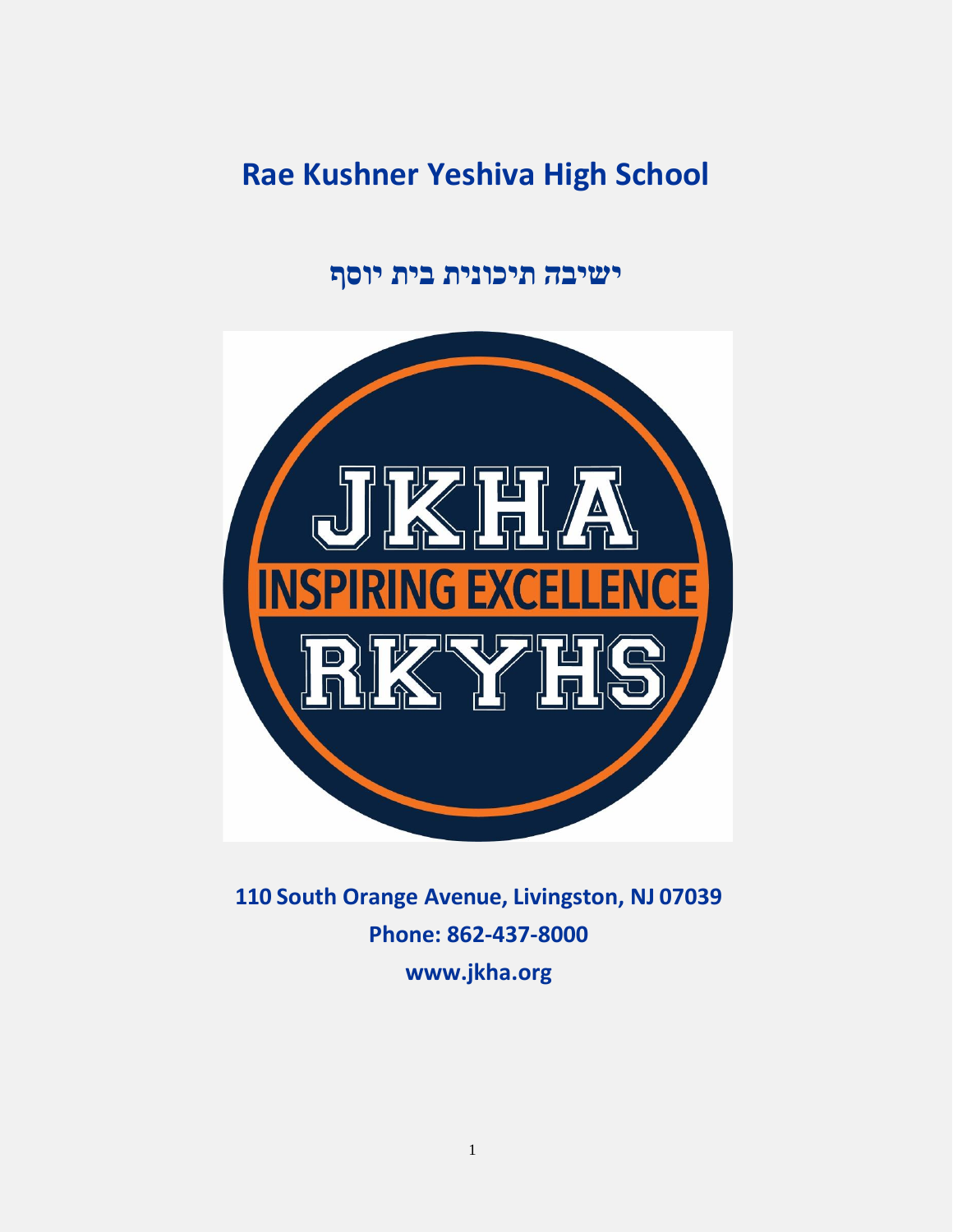# **Rae Kushner Yeshiva High School**

# **ישיבה תיכונית בית יוסף**



**110 South Orange Avenue, Livingston, NJ 07039 Phone: 862-437-8000 [www.jkha.org](http://www.jkha.org/)**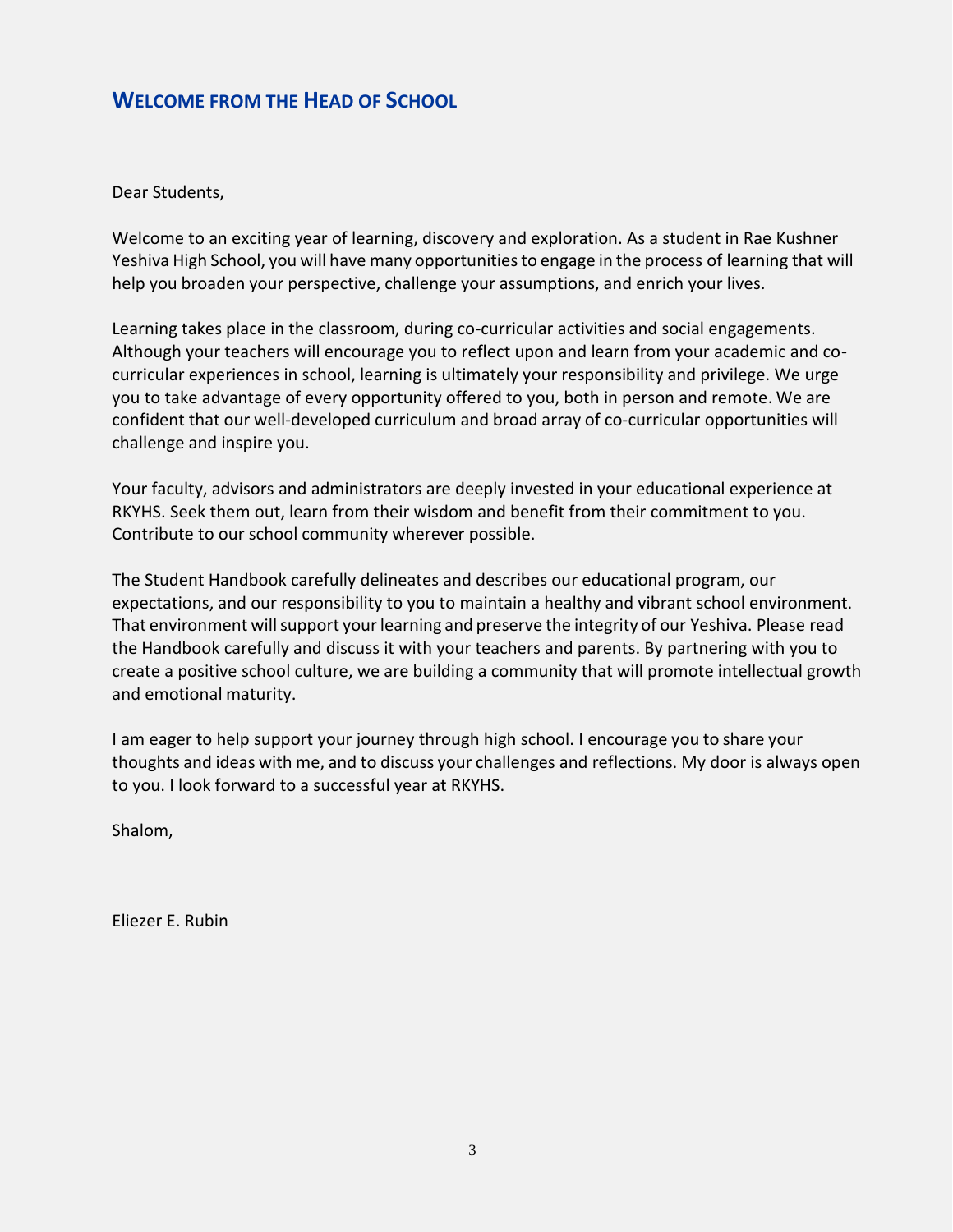# <span id="page-2-0"></span>**WELCOME FROM THE HEAD OF SCHOOL**

Dear Students,

Welcome to an exciting year of learning, discovery and exploration. As a student in Rae Kushner Yeshiva High School, you will have many opportunitiesto engage in the process of learning that will help you broaden your perspective, challenge your assumptions, and enrich your lives.

Learning takes place in the classroom, during co-curricular activities and social engagements. Although your teachers will encourage you to reflect upon and learn from your academic and cocurricular experiences in school, learning is ultimately your responsibility and privilege. We urge you to take advantage of every opportunity offered to you, both in person and remote. We are confident that our well-developed curriculum and broad array of co-curricular opportunities will challenge and inspire you.

Your faculty, advisors and administrators are deeply invested in your educational experience at RKYHS. Seek them out, learn from their wisdom and benefit from their commitment to you. Contribute to our school community wherever possible.

The Student Handbook carefully delineates and describes our educational program, our expectations, and our responsibility to you to maintain a healthy and vibrant school environment. That environment willsupport yourlearning and preserve the integrity of our Yeshiva. Please read the Handbook carefully and discuss it with your teachers and parents. By partnering with you to create a positive school culture, we are building a community that will promote intellectual growth and emotional maturity.

I am eager to help support your journey through high school. I encourage you to share your thoughts and ideas with me, and to discuss your challenges and reflections. My door is always open to you. I look forward to a successful year at RKYHS.

Shalom,

Eliezer E. Rubin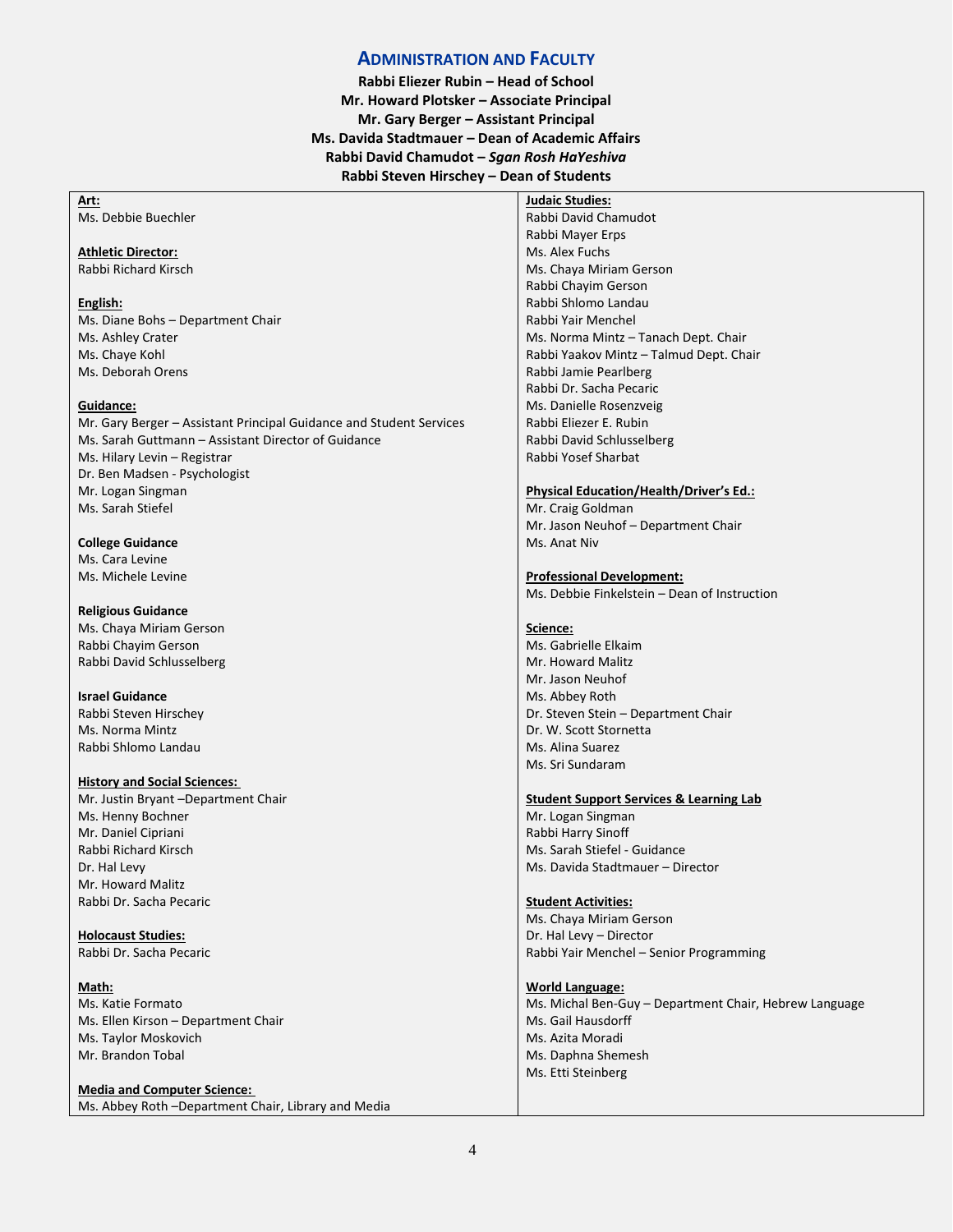#### **ADMINISTRATION AND FACULTY**

**Rabbi Eliezer Rubin – Head of School Mr. Howard Plotsker – Associate Principal Mr. Gary Berger – Assistant Principal Ms. Davida Stadtmauer – Dean of Academic Affairs Rabbi David Chamudot –** *Sgan Rosh HaYeshiva* **Rabbi Steven Hirschey – Dean of Students**

| Art:                                                                | <b>Judaic Studies:</b>                                 |
|---------------------------------------------------------------------|--------------------------------------------------------|
| Ms. Debbie Buechler                                                 | Rabbi David Chamudot                                   |
|                                                                     | Rabbi Mayer Erps                                       |
| <b>Athletic Director:</b>                                           | Ms. Alex Fuchs                                         |
| Rabbi Richard Kirsch                                                | Ms. Chaya Miriam Gerson                                |
|                                                                     | Rabbi Chayim Gerson                                    |
| English:                                                            | Rabbi Shlomo Landau                                    |
| Ms. Diane Bohs - Department Chair                                   | Rabbi Yair Menchel                                     |
| Ms. Ashley Crater                                                   | Ms. Norma Mintz - Tanach Dept. Chair                   |
| Ms. Chaye Kohl                                                      | Rabbi Yaakov Mintz - Talmud Dept. Chair                |
| Ms. Deborah Orens                                                   | Rabbi Jamie Pearlberg                                  |
|                                                                     | Rabbi Dr. Sacha Pecaric                                |
| Guidance:                                                           | Ms. Danielle Rosenzveig                                |
| Mr. Gary Berger - Assistant Principal Guidance and Student Services | Rabbi Eliezer E. Rubin                                 |
| Ms. Sarah Guttmann - Assistant Director of Guidance                 | Rabbi David Schlusselberg                              |
| Ms. Hilary Levin – Registrar                                        | Rabbi Yosef Sharbat                                    |
| Dr. Ben Madsen - Psychologist                                       |                                                        |
| Mr. Logan Singman                                                   | <b>Physical Education/Health/Driver's Ed.:</b>         |
| Ms. Sarah Stiefel                                                   | Mr. Craig Goldman                                      |
|                                                                     | Mr. Jason Neuhof - Department Chair                    |
| <b>College Guidance</b>                                             | Ms. Anat Niv                                           |
| Ms. Cara Levine                                                     |                                                        |
| Ms. Michele Levine                                                  | <b>Professional Development:</b>                       |
|                                                                     | Ms. Debbie Finkelstein - Dean of Instruction           |
| <b>Religious Guidance</b>                                           |                                                        |
| Ms. Chaya Miriam Gerson                                             | Science:                                               |
| Rabbi Chayim Gerson                                                 | Ms. Gabrielle Elkaim                                   |
| Rabbi David Schlusselberg                                           | Mr. Howard Malitz                                      |
|                                                                     | Mr. Jason Neuhof                                       |
| <b>Israel Guidance</b>                                              | Ms. Abbey Roth                                         |
| Rabbi Steven Hirschey                                               | Dr. Steven Stein - Department Chair                    |
| Ms. Norma Mintz                                                     | Dr. W. Scott Stornetta                                 |
| Rabbi Shlomo Landau                                                 | Ms. Alina Suarez                                       |
|                                                                     | Ms. Sri Sundaram                                       |
| <b>History and Social Sciences:</b>                                 |                                                        |
| Mr. Justin Bryant -Department Chair                                 | <b>Student Support Services &amp; Learning Lab</b>     |
| Ms. Henny Bochner                                                   | Mr. Logan Singman                                      |
| Mr. Daniel Cipriani                                                 | Rabbi Harry Sinoff                                     |
| Rabbi Richard Kirsch                                                | Ms. Sarah Stiefel - Guidance                           |
| Dr. Hal Levy                                                        | Ms. Davida Stadtmauer - Director                       |
| Mr. Howard Malitz                                                   |                                                        |
| Rabbi Dr. Sacha Pecaric                                             | <b>Student Activities:</b>                             |
|                                                                     | Ms. Chaya Miriam Gerson                                |
| <b>Holocaust Studies:</b>                                           | Dr. Hal Levy - Director                                |
| Rabbi Dr. Sacha Pecaric                                             | Rabbi Yair Menchel - Senior Programming                |
|                                                                     |                                                        |
| Math:                                                               | <b>World Language:</b>                                 |
| Ms. Katie Formato                                                   | Ms. Michal Ben-Guy - Department Chair, Hebrew Language |
| Ms. Ellen Kirson - Department Chair                                 | Ms. Gail Hausdorff                                     |
| Ms. Taylor Moskovich                                                | Ms. Azita Moradi                                       |
| Mr. Brandon Tobal                                                   | Ms. Daphna Shemesh                                     |
|                                                                     | Ms. Etti Steinberg                                     |
| <b>Media and Computer Science:</b>                                  |                                                        |
| Ms. Abbey Roth -Department Chair, Library and Media                 |                                                        |
|                                                                     |                                                        |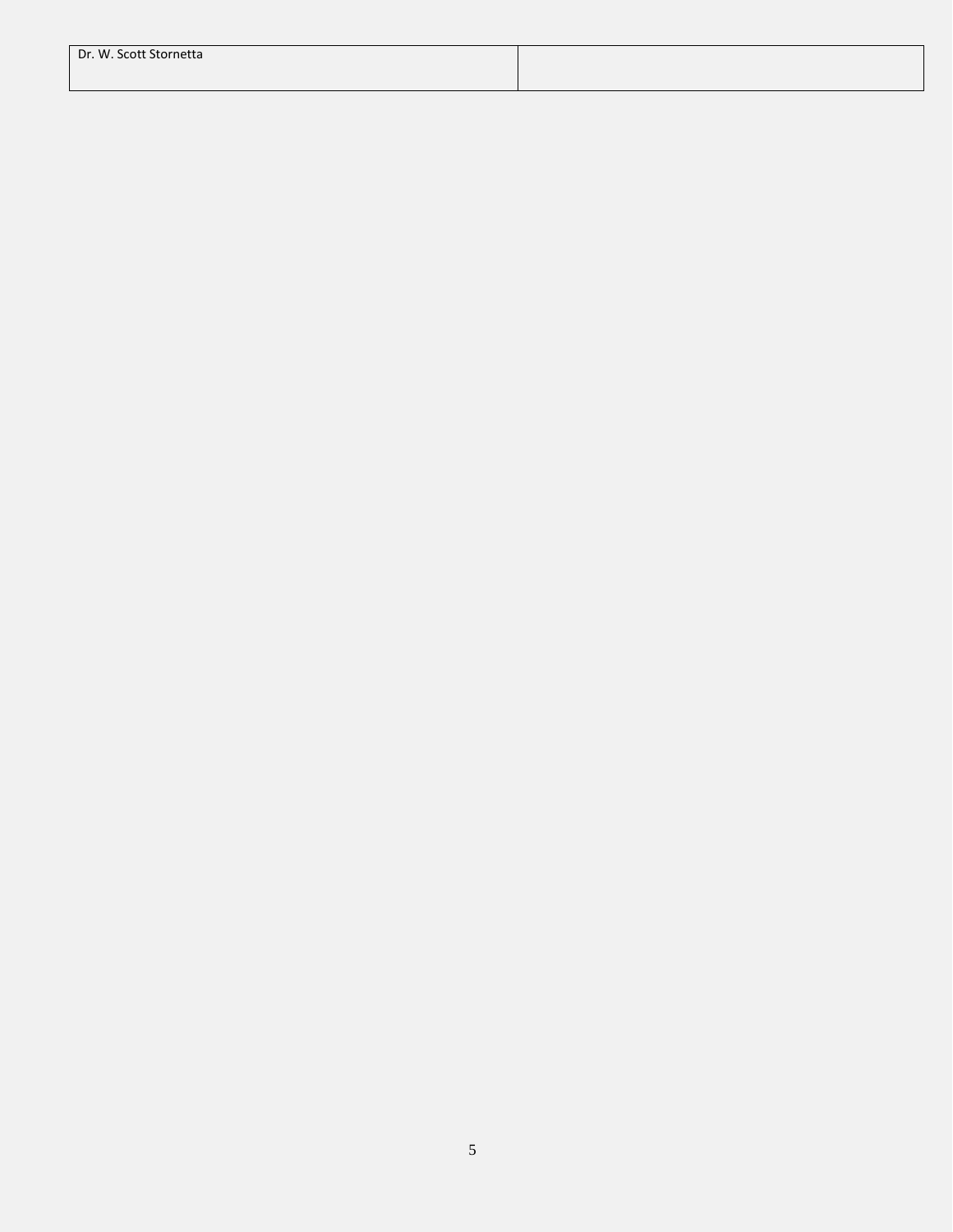| Dr. W. Scott Stornetta |  |
|------------------------|--|
|                        |  |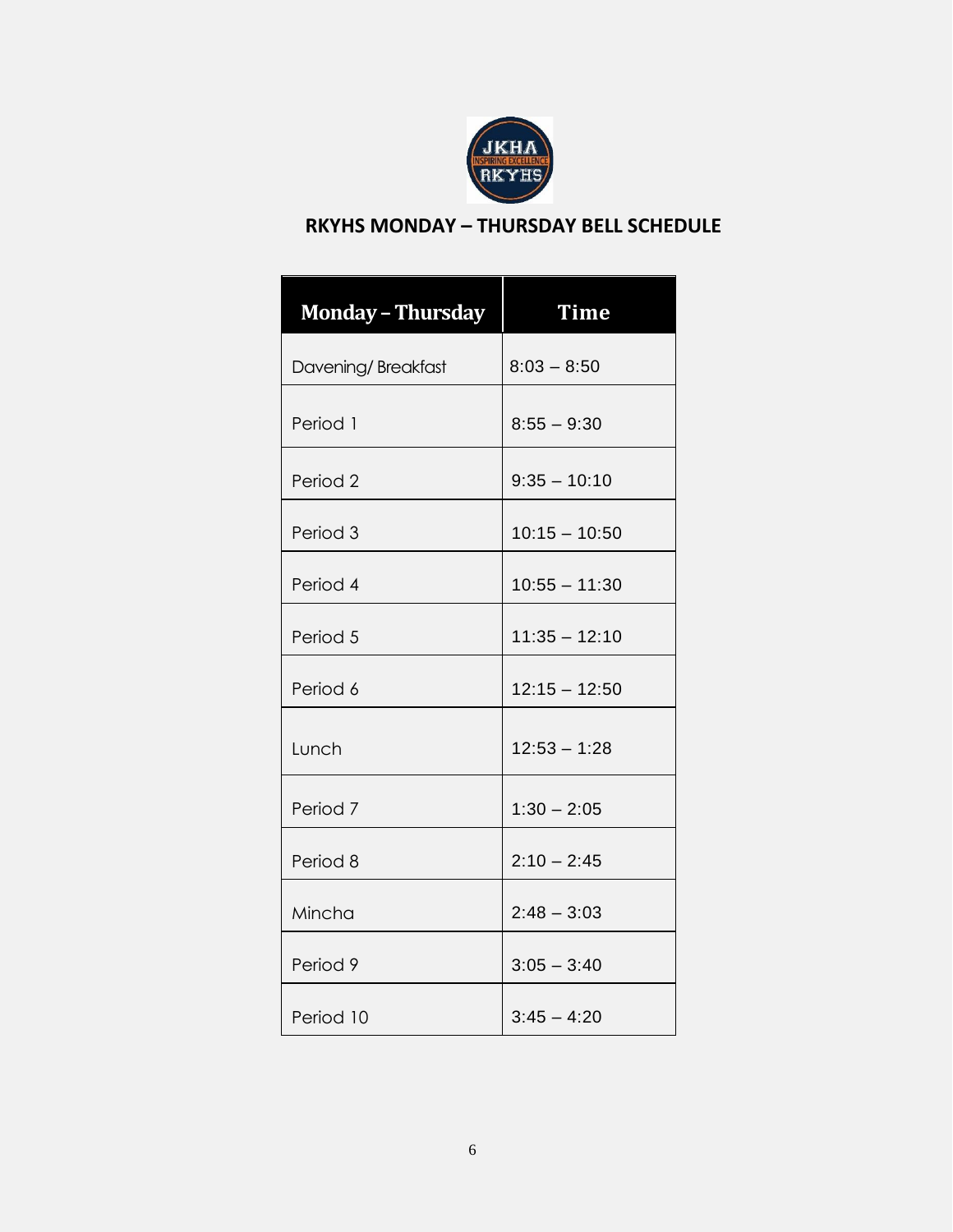

# **RKYHS MONDAY – THURSDAY BELL SCHEDULE**

| <b>Monday - Thursday</b> | <b>Time</b>     |
|--------------------------|-----------------|
| Davening/Breakfast       | $8:03 - 8:50$   |
| Period 1                 | $8:55 - 9:30$   |
| Period <sub>2</sub>      | $9:35 - 10:10$  |
| Period 3                 | $10:15 - 10:50$ |
| Period 4                 | $10:55 - 11:30$ |
| Period 5                 | $11:35 - 12:10$ |
| Period 6                 | $12:15 - 12:50$ |
| Lunch                    | $12:53 - 1:28$  |
| Period 7                 | $1:30 - 2:05$   |
| Period 8                 | $2:10 - 2:45$   |
| Mincha                   | $2:48 - 3:03$   |
| Period 9                 | $3:05 - 3:40$   |
| Period 10                | $3:45 - 4:20$   |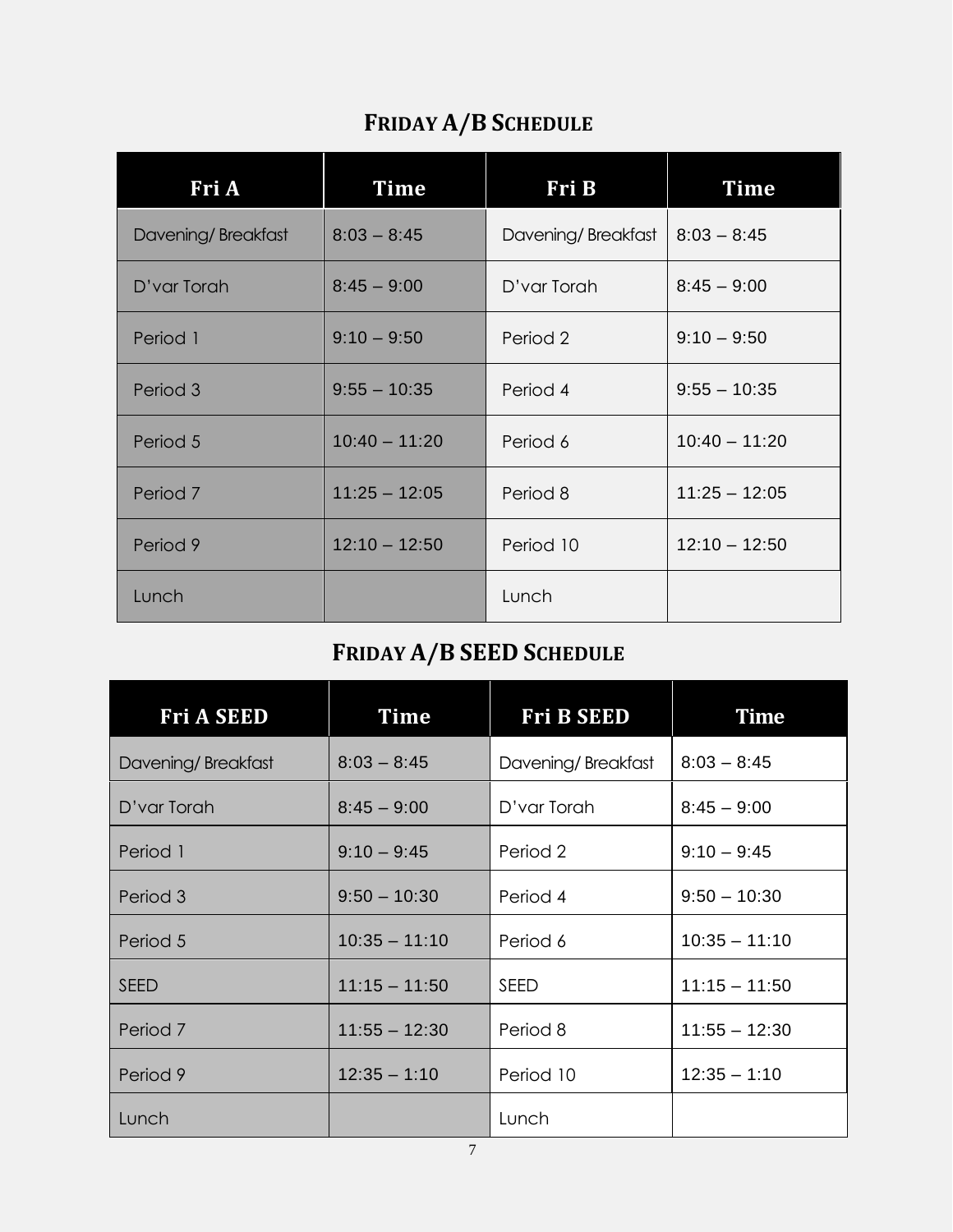# **FRIDAY A/B SCHEDULE**

| Fri A              | Time            | Fri B              | <b>Time</b>     |
|--------------------|-----------------|--------------------|-----------------|
| Davening/Breakfast | $8:03 - 8:45$   | Davening/Breakfast | $8:03 - 8:45$   |
| D'var Torah        | $8:45 - 9:00$   | D'var Torah        | $8:45 - 9:00$   |
| Period 1           | $9:10 - 9:50$   | Period 2           | $9:10 - 9:50$   |
| Period 3           | $9:55 - 10:35$  | Period 4           | $9:55 - 10:35$  |
| Period 5           | $10:40 - 11:20$ | Period 6           | $10:40 - 11:20$ |
| Period 7           | $11:25 - 12:05$ | Period 8           | $11:25 - 12:05$ |
| Period 9           | $12:10 - 12:50$ | Period 10          | $12:10 - 12:50$ |
| Lunch              |                 | Lunch              |                 |

# **FRIDAY A/B SEED SCHEDULE**

| <b>Fri A SEED</b>            | Time            | <b>Fri B SEED</b>  | <b>Time</b>     |  |
|------------------------------|-----------------|--------------------|-----------------|--|
| Davening/Breakfast           | $8:03 - 8:45$   | Davening/Breakfast | $8:03 - 8:45$   |  |
| $8:45 - 9:00$<br>D'var Torah |                 | D'var Torah        | $8:45 - 9:00$   |  |
| Period 1                     | $9:10 - 9:45$   | Period 2           | $9:10 - 9:45$   |  |
| Period 3                     | $9:50 - 10:30$  | Period 4           | $9:50 - 10:30$  |  |
| Period 5                     | $10:35 - 11:10$ | Period 6           | $10:35 - 11:10$ |  |
| <b>SEED</b>                  | $11:15 - 11:50$ | SEED               | $11:15 - 11:50$ |  |
| Period 7                     | $11:55 - 12:30$ | Period 8           | $11:55 - 12:30$ |  |
| Period 9                     | $12:35 - 1:10$  | Period 10          | $12:35 - 1:10$  |  |
| Lunch                        |                 | Lunch              |                 |  |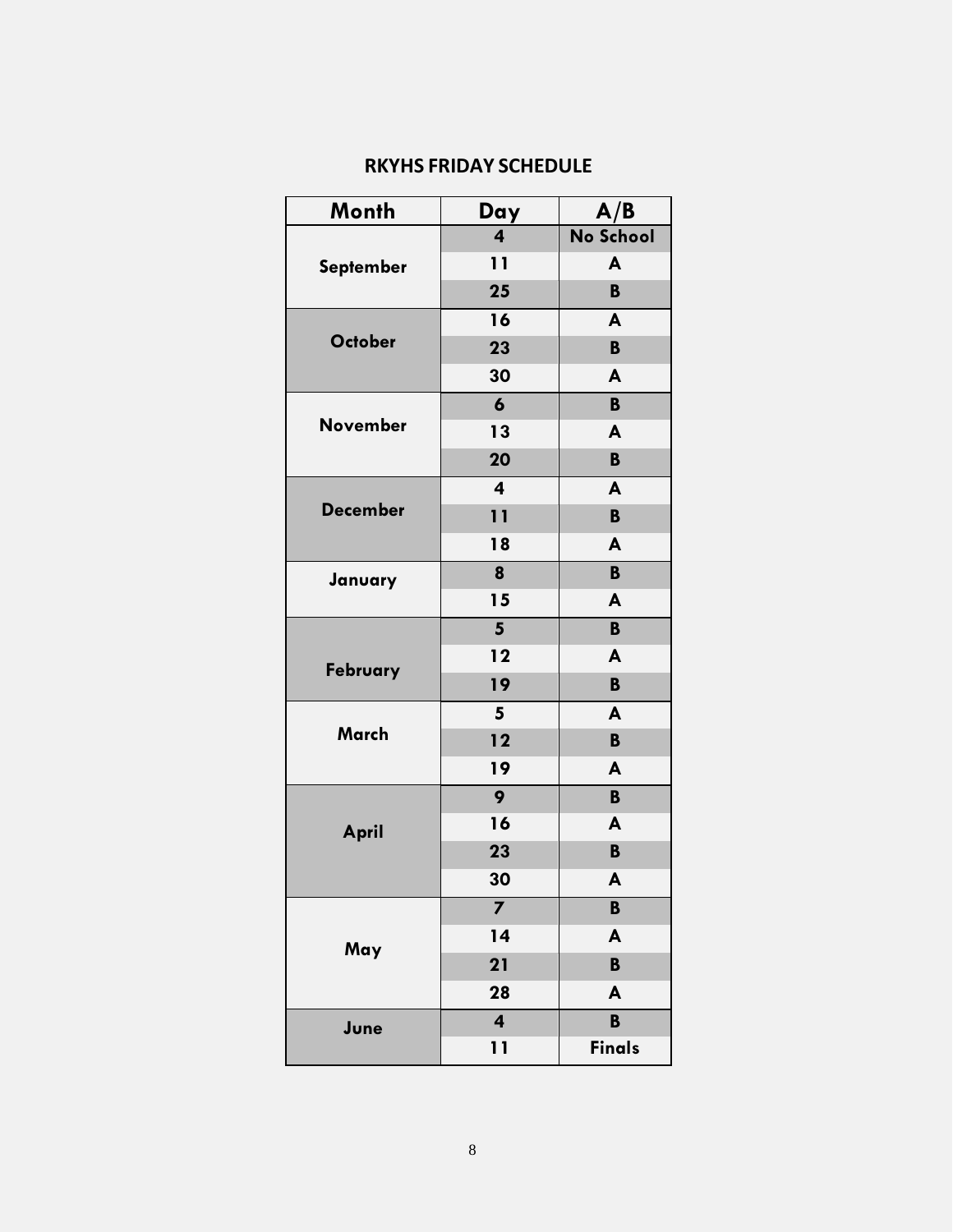|  | <b>RKYHS FRIDAY SCHEDULE</b> |  |  |
|--|------------------------------|--|--|
|--|------------------------------|--|--|

| Month           | Day                     | A/B           |
|-----------------|-------------------------|---------------|
|                 | $\overline{\mathbf{4}}$ | No School     |
| September       | 11                      | A             |
|                 | 25                      | B             |
|                 | 16                      | A             |
| <b>October</b>  | 23                      | B             |
|                 | 30                      | A             |
|                 | $\boldsymbol{6}$        | B             |
| <b>November</b> | 13                      | A             |
|                 | 20                      | B             |
|                 | $\overline{\mathbf{4}}$ | A             |
| <b>December</b> | 11                      | B             |
|                 | 18                      | A             |
| January         | 8                       | B             |
|                 | 15                      | A             |
|                 | $5\phantom{.0}$         | B             |
|                 | 12                      | A             |
| February        | 19                      | B             |
|                 | 5                       | A             |
| March           | 12                      | $\mathbf B$   |
|                 | 19                      | A             |
|                 | 9                       | B             |
| April           | 16                      | A             |
|                 | 23                      | B             |
|                 | 30                      | A             |
|                 | 7                       | B             |
| May             | 14                      | A             |
|                 | 21                      | $\mathbf B$   |
|                 | 28                      | A             |
| June            | $\overline{\mathbf{4}}$ | $\mathbf B$   |
|                 | 11                      | <b>Finals</b> |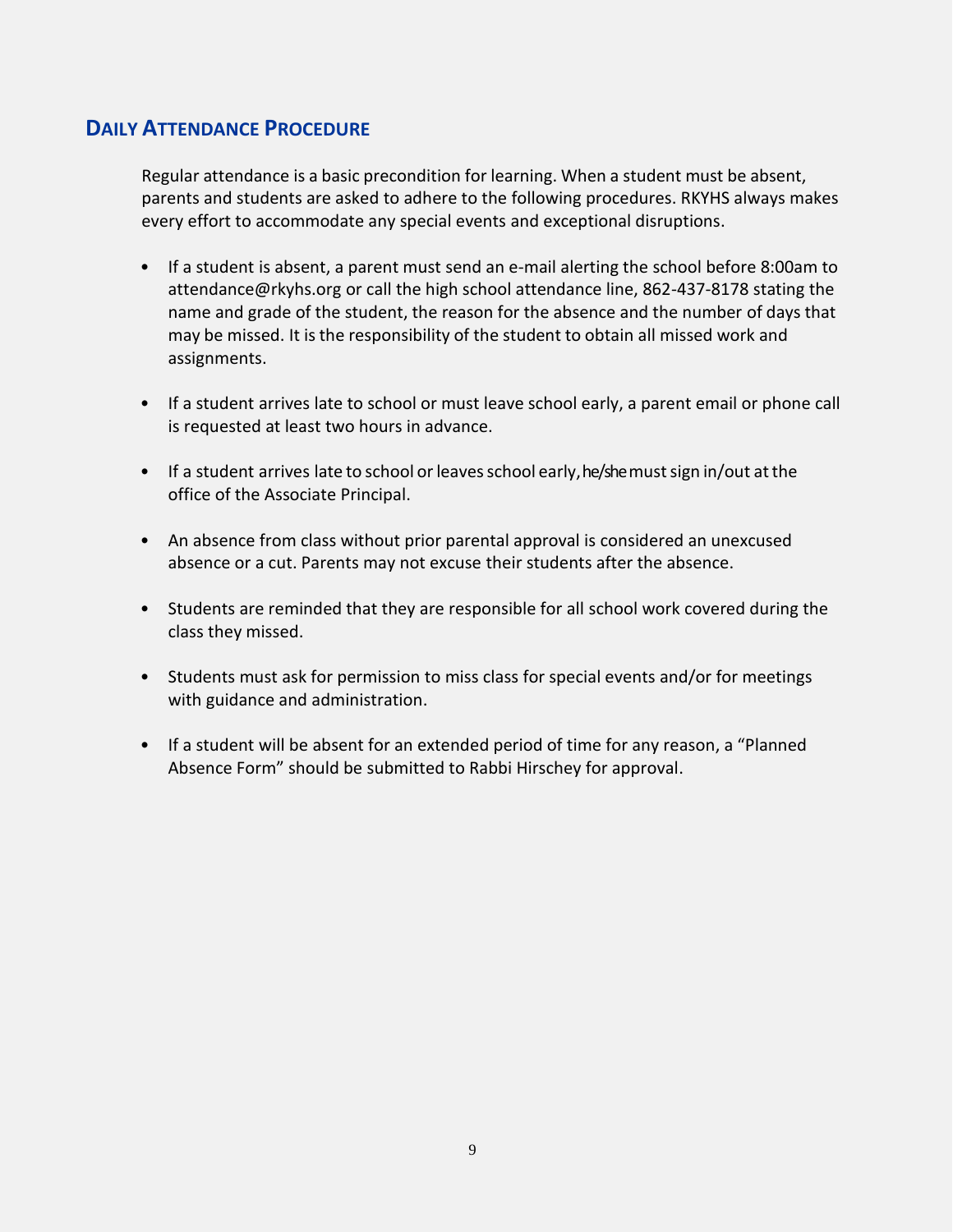# **DAILY ATTENDANCE PROCEDURE**

Regular attendance is a basic precondition for learning. When a student must be absent, parents and students are asked to adhere to the following procedures. RKYHS always makes every effort to accommodate any special events and exceptional disruptions.

- If a student is absent, a parent must send an e-mail alerting the school before 8:00am t[o](mailto:attendance@rkyhs.org) [attendance@rkyhs.org o](mailto:attendance@rkyhs.org)r call the high school attendance line, 862-437-8178 stating the name and grade of the student, the reason for the absence and the number of days that may be missed. It is the responsibility of the student to obtain all missed work and assignments.
- If a student arrives late to school or must leave school early, a parent email or phone call is requested at least two hours in advance.
- If a student arrives late to school or leaves school early, he/shemust sign in/out at the office of the Associate Principal.
- An absence from class without prior parental approval is considered an unexcused absence or a cut. Parents may not excuse their students after the absence.
- Students are reminded that they are responsible for all school work covered during the class they missed.
- Students must ask for permission to miss class for special events and/or for meetings with guidance and administration.
- If a student will be absent for an extended period of time for any reason, a "Planned Absence Form" should be submitted to Rabbi Hirschey for approval.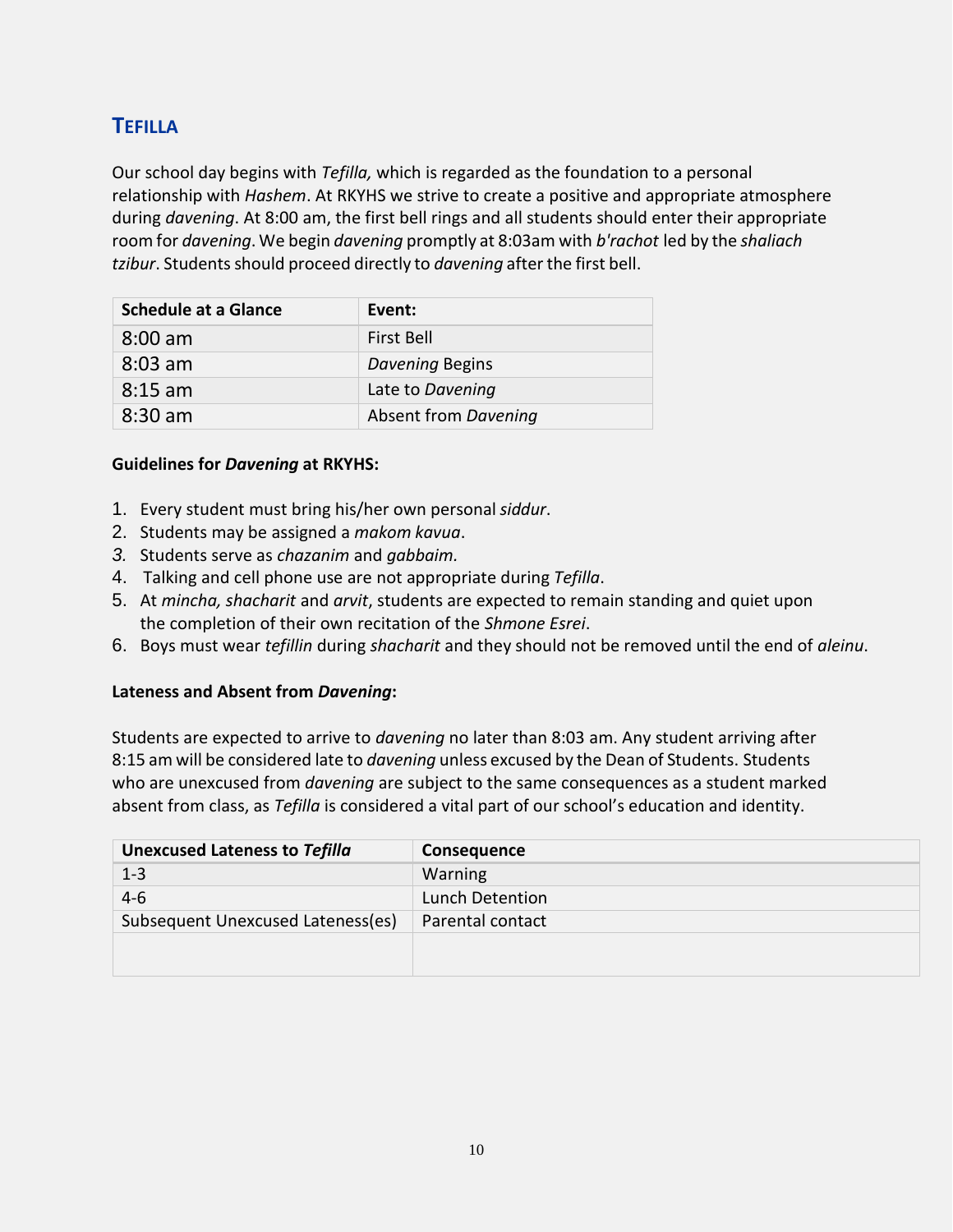# <span id="page-9-0"></span>**TEFILLA**

Our school day begins with *Tefilla,* which is regarded as the foundation to a personal relationship with *Hashem*. At RKYHS we strive to create a positive and appropriate atmosphere during *davening*. At 8:00 am, the first bell rings and all students should enter their appropriate room for *davening*. We begin *davening* promptly at 8:03am with *b'rachot* led by the *shaliach tzibur*. Students should proceed directly to *davening* after the first bell.

| <b>Schedule at a Glance</b> | Event:               |
|-----------------------------|----------------------|
| $8:00$ am                   | First Bell           |
| $8:03$ am                   | Davening Begins      |
| $8:15$ am                   | Late to Davening     |
| $8:30$ am                   | Absent from Davening |

#### **Guidelines for** *Davening* **at RKYHS:**

- 1. Every student must bring his/her own personal*siddur*.
- 2. Students may be assigned a *makom kavua*.
- *3.* Students serve as *chazanim* and *gabbaim.*
- 4. Talking and cell phone use are not appropriate during *Tefilla*.
- 5. At *mincha, shacharit* and *arvit*, students are expected to remain standing and quiet upon the completion of their own recitation of the *Shmone Esrei*.
- 6. Boys must wear *tefillin* during *shacharit* and they should not be removed until the end of *aleinu*.

# **Lateness and Absent from** *Davening***:**

Students are expected to arrive to *davening* no later than 8:03 am. Any student arriving after 8:15 am will be considered late to *davening* unless excused by the Dean of Students. Students who are unexcused from *davening* are subject to the same consequences as a student marked absent from class, as *Tefilla* is considered a vital part of our school's education and identity.

| <b>Unexcused Lateness to Tefilla</b> | Consequence      |
|--------------------------------------|------------------|
| $1 - 3$                              | Warning          |
| $4 - 6$                              | Lunch Detention  |
| Subsequent Unexcused Lateness(es)    | Parental contact |
|                                      |                  |
|                                      |                  |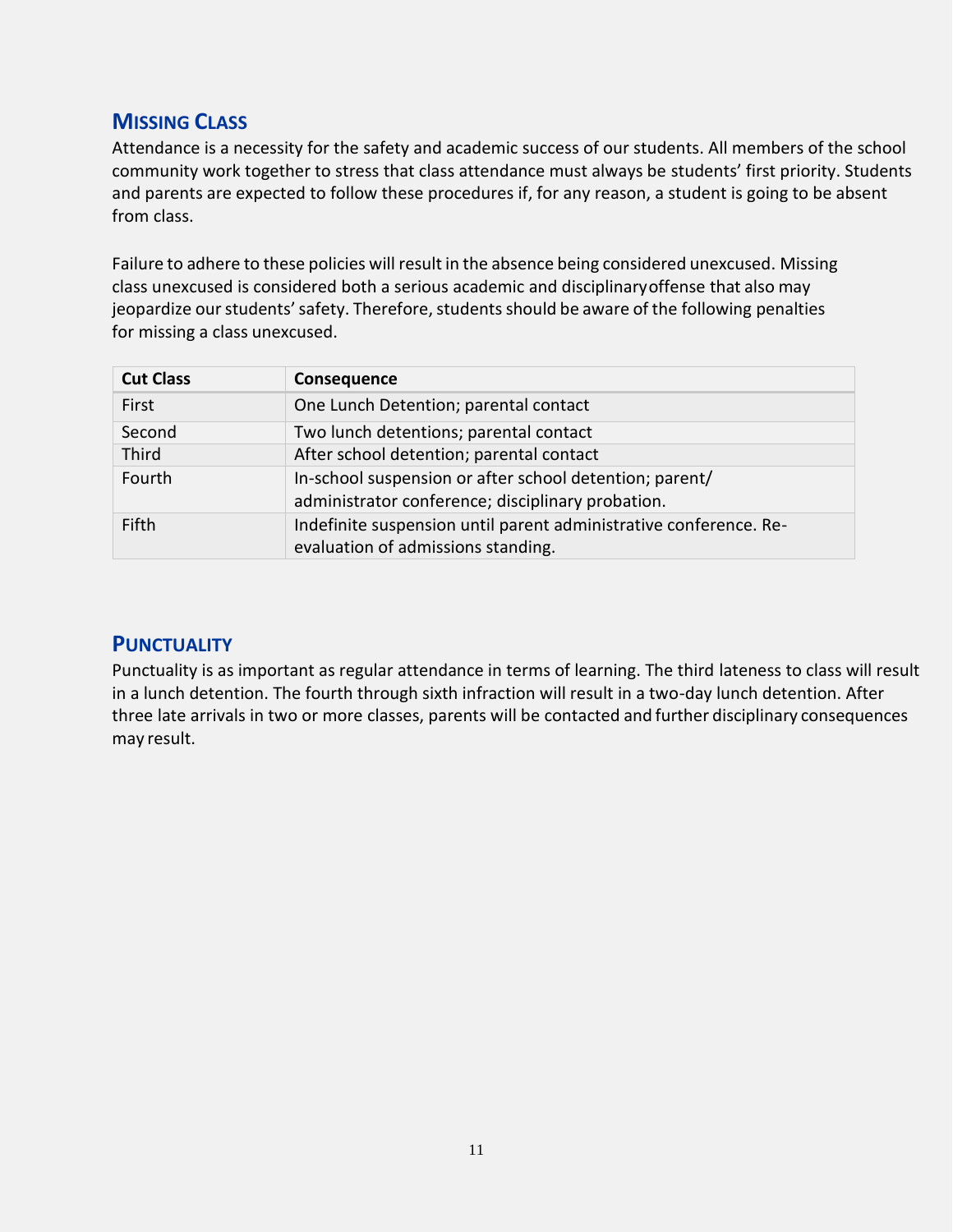# <span id="page-10-0"></span>**MISSING CLASS**

Attendance is a necessity for the safety and academic success of our students. All members of the school community work together to stress that class attendance must always be students' first priority. Students and parents are expected to follow these procedures if, for any reason, a student is going to be absent from class.

Failure to adhere to these policies will result in the absence being considered unexcused. Missing class unexcused is considered both a serious academic and disciplinaryoffense that also may jeopardize our students' safety. Therefore, students should be aware of the following penalties for missing a class unexcused.

| <b>Cut Class</b> | Consequence                                                                                                  |
|------------------|--------------------------------------------------------------------------------------------------------------|
| First            | One Lunch Detention; parental contact                                                                        |
| Second           | Two lunch detentions; parental contact                                                                       |
| Third            | After school detention; parental contact                                                                     |
| Fourth           | In-school suspension or after school detention; parent/<br>administrator conference; disciplinary probation. |
| Fifth            | Indefinite suspension until parent administrative conference. Re-<br>evaluation of admissions standing.      |

# **PUNCTUALITY**

Punctuality is as important as regular attendance in terms of learning. The third lateness to class will result in a lunch detention. The fourth through sixth infraction will result in a two-day lunch detention. After three late arrivals in two or more classes, parents will be contacted and further disciplinary consequences may result.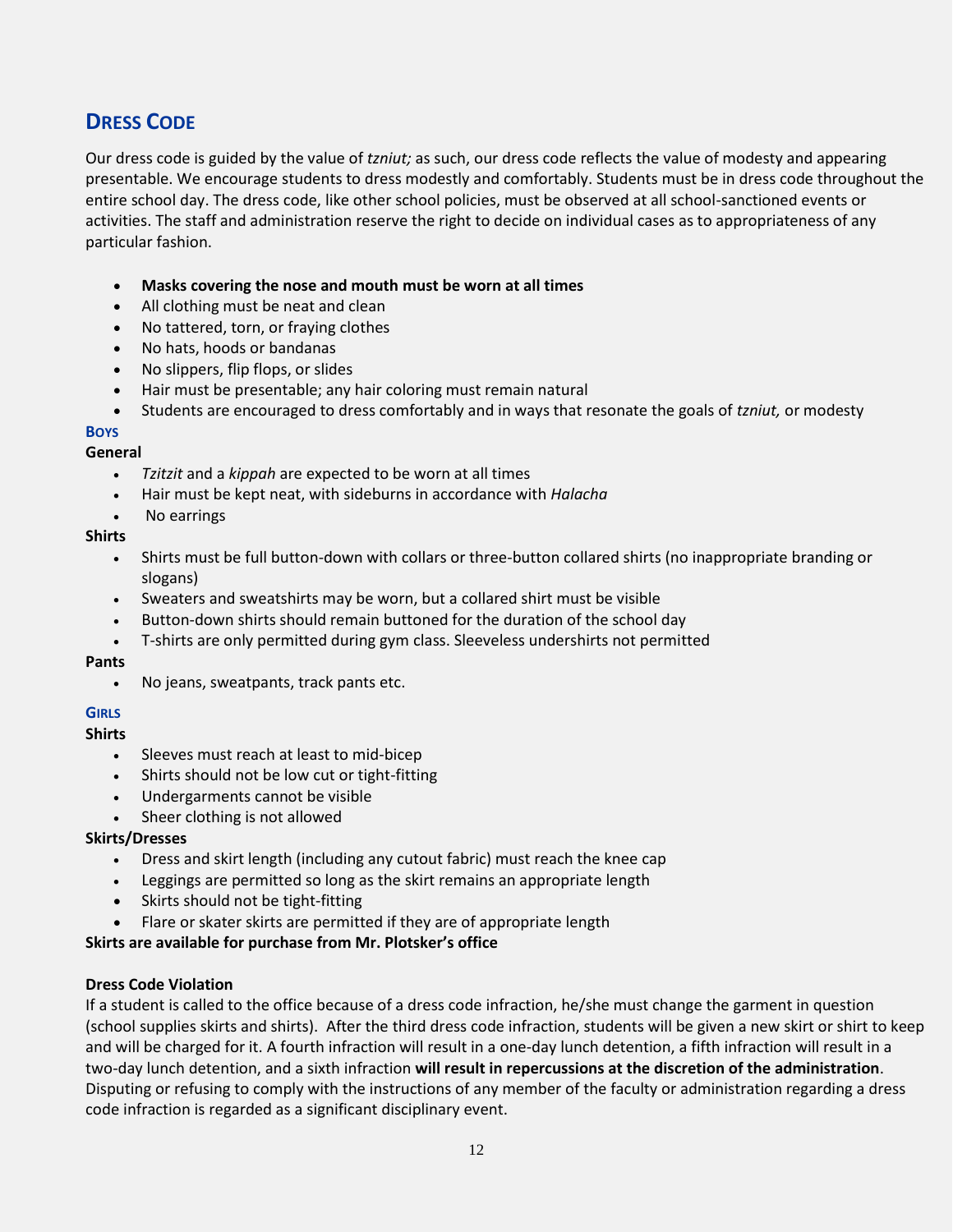# **DRESS CODE**

Our dress code is guided by the value of *tzniut;* as such, our dress code reflects the value of modesty and appearing presentable. We encourage students to dress modestly and comfortably. Students must be in dress code throughout the entire school day. The dress code, like other school policies, must be observed at all school-sanctioned events or activities. The staff and administration reserve the right to decide on individual cases as to appropriateness of any particular fashion.

- **Masks covering the nose and mouth must be worn at all times**
- All clothing must be neat and clean
- No tattered, torn, or fraying clothes
- No hats, hoods or bandanas
- No slippers, flip flops, or slides
- Hair must be presentable; any hair coloring must remain natural
- Students are encouraged to dress comfortably and in ways that resonate the goals of *tzniut,* or modesty

# **BOYS**

### **General**

- *Tzitzit* and a *kippah* are expected to be worn at all times
- Hair must be kept neat, with sideburns in accordance with *Halacha*
- No earrings

#### **Shirts**

- Shirts must be full button-down with collars or three-button collared shirts (no inappropriate branding or slogans)
- Sweaters and sweatshirts may be worn, but a collared shirt must be visible
- Button-down shirts should remain buttoned for the duration of the school day
- T-shirts are only permitted during gym class. Sleeveless undershirts not permitted

#### **Pants**

• No jeans, sweatpants, track pants etc.

#### **GIRLS**

#### **Shirts**

- Sleeves must reach at least to mid-bicep
- Shirts should not be low cut or tight-fitting
- Undergarments cannot be visible
- Sheer clothing is not allowed

#### **Skirts/Dresses**

- Dress and skirt length (including any cutout fabric) must reach the knee cap
- Leggings are permitted so long as the skirt remains an appropriate length
- Skirts should not be tight-fitting
- Flare or skater skirts are permitted if they are of appropriate length

#### **Skirts are available for purchase from Mr. Plotsker's office**

#### **Dress Code Violation**

If a student is called to the office because of a dress code infraction, he/she must change the garment in question (school supplies skirts and shirts). After the third dress code infraction, students will be given a new skirt or shirt to keep and will be charged for it. A fourth infraction will result in a one-day lunch detention, a fifth infraction will result in a two-day lunch detention, and a sixth infraction **will result in repercussions at the discretion of the administration**. Disputing or refusing to comply with the instructions of any member of the faculty or administration regarding a dress code infraction is regarded as a significant disciplinary event.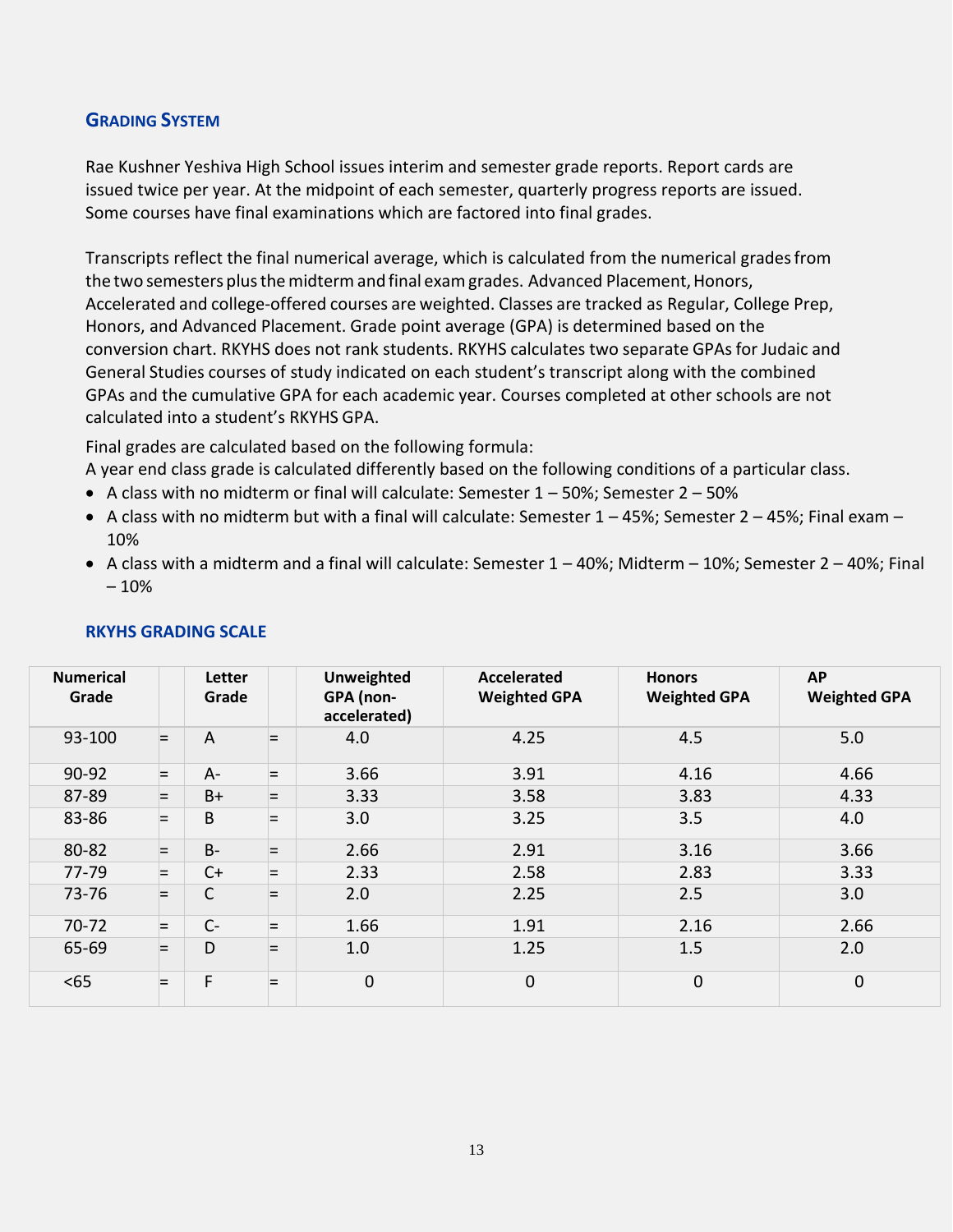# **GRADING SYSTEM**

Rae Kushner Yeshiva High School issues interim and semester grade reports. Report cards are issued twice per year. At the midpoint of each semester, quarterly progress reports are issued. Some courses have final examinations which are factored into final grades.

Transcripts reflect the final numerical average, which is calculated from the numerical gradesfrom the two semesters plus the midterm and final exam grades. Advanced Placement, Honors, Accelerated and college-offered courses are weighted. Classes are tracked as Regular, College Prep, Honors, and Advanced Placement. Grade point average (GPA) is determined based on the conversion chart. RKYHS does not rank students. RKYHS calculates two separate GPAsfor Judaic and General Studies courses of study indicated on each student's transcript along with the combined GPAs and the cumulative GPA for each academic year. Courses completed at other schools are not calculated into a student's RKYHS GPA.

Final grades are calculated based on the following formula:

A year end class grade is calculated differently based on the following conditions of a particular class.

- A class with no midterm or final will calculate: Semester  $1 50\%$ ; Semester  $2 50\%$
- A class with no midterm but with a final will calculate: Semester 1 45%; Semester 2 45%; Final exam 10%
- A class with a midterm and a final will calculate: Semester 1 40%; Midterm 10%; Semester 2 40%; Final – 10%

| <b>Numerical</b><br>Grade |     | Letter<br>Grade |     | Unweighted<br>GPA (non-<br>accelerated) | <b>Accelerated</b><br><b>Weighted GPA</b> | <b>Honors</b><br><b>Weighted GPA</b> | <b>AP</b><br><b>Weighted GPA</b> |
|---------------------------|-----|-----------------|-----|-----------------------------------------|-------------------------------------------|--------------------------------------|----------------------------------|
| 93-100                    | E.  | $\overline{A}$  | $=$ | 4.0                                     | 4.25                                      | 4.5                                  | 5.0                              |
| 90-92                     | E.  | $A-$            | E.  | 3.66                                    | 3.91                                      | 4.16                                 | 4.66                             |
| 87-89                     | =   | $B+$            | ⊨   | 3.33                                    | 3.58                                      | 3.83                                 | 4.33                             |
| 83-86                     | $=$ | B               | ⊨   | 3.0                                     | 3.25                                      | 3.5                                  | 4.0                              |
| 80-82                     | E.  | <b>B-</b>       | ⋿   | 2.66                                    | 2.91                                      | 3.16                                 | 3.66                             |
| 77-79                     | Iш. | $C+$            | E.  | 2.33                                    | 2.58                                      | 2.83                                 | 3.33                             |
| 73-76                     | =   | C               | $=$ | 2.0                                     | 2.25                                      | 2.5                                  | 3.0                              |
| $70 - 72$                 | l=  | $C -$           | ⊨   | 1.66                                    | 1.91                                      | 2.16                                 | 2.66                             |
| 65-69                     | $=$ | D               | $=$ | 1.0                                     | 1.25                                      | 1.5                                  | 2.0                              |
| < 65                      | ⊨   | F               | ⋿   | $\mathbf 0$                             | 0                                         | $\mathbf 0$                          | $\mathbf 0$                      |

#### **RKYHS GRADING SCALE**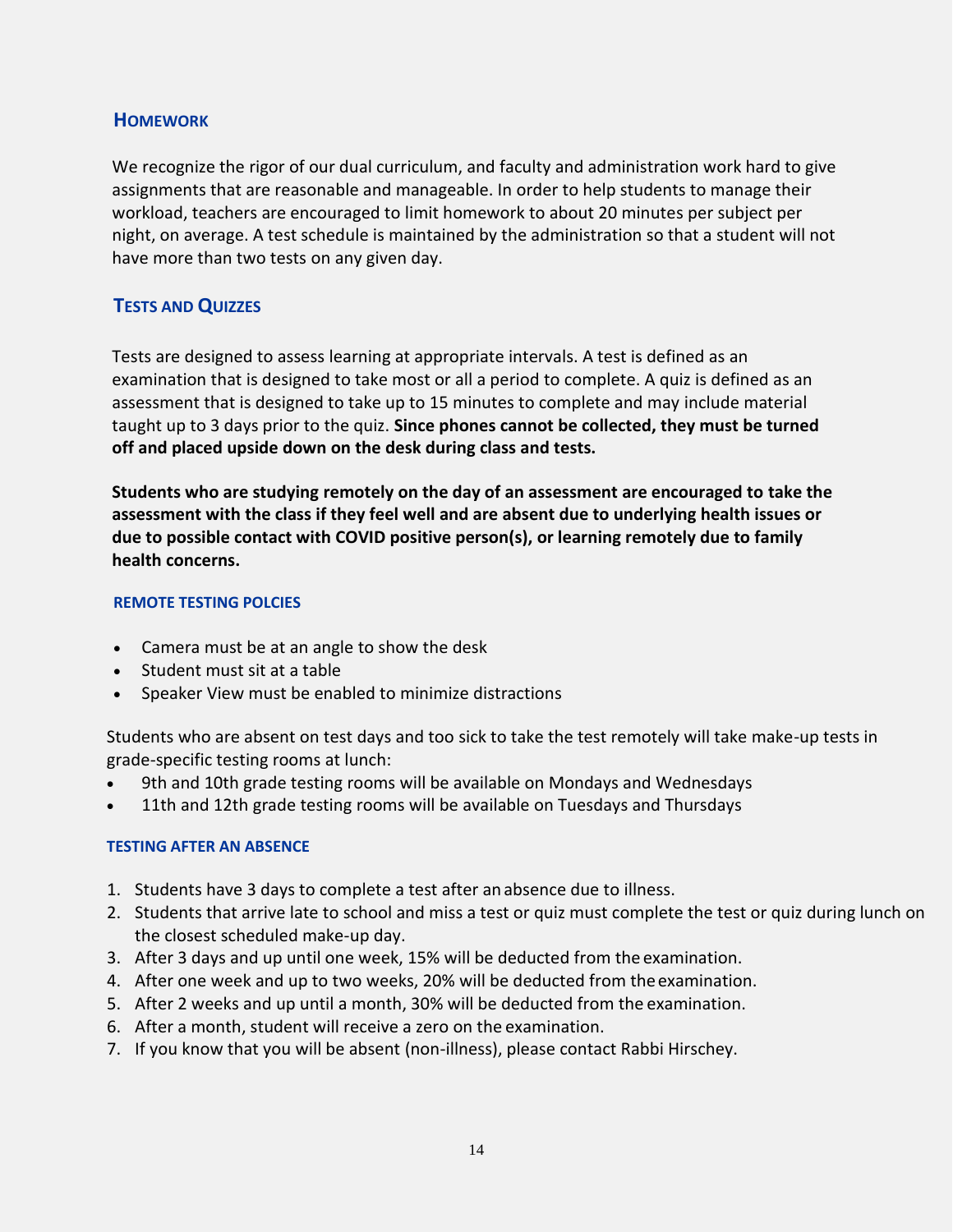# **HOMEWORK**

We recognize the rigor of our dual curriculum, and faculty and administration work hard to give assignments that are reasonable and manageable. In order to help students to manage their workload, teachers are encouraged to limit homework to about 20 minutes per subject per night, on average. A test schedule is maintained by the administration so that a student will not have more than two tests on any given day.

# **TESTS AND QUIZZES**

Tests are designed to assess learning at appropriate intervals. A test is defined as an examination that is designed to take most or all a period to complete. A quiz is defined as an assessment that is designed to take up to 15 minutes to complete and may include material taught up to 3 days prior to the quiz. **Since phones cannot be collected, they must be turned off and placed upside down on the desk during class and tests.**

**Students who are studying remotely on the day of an assessment are encouraged to take the assessment with the class if they feel well and are absent due to underlying health issues or due to possible contact with COVID positive person(s), or learning remotely due to family health concerns.**

### **REMOTE TESTING POLCIES**

- Camera must be at an angle to show the desk
- Student must sit at a table
- Speaker View must be enabled to minimize distractions

Students who are absent on test days and too sick to take the test remotely will take make-up tests in grade-specific testing rooms at lunch:

- 9th and 10th grade testing rooms will be available on Mondays and Wednesdays
- 11th and 12th grade testing rooms will be available on Tuesdays and Thursdays

# **TESTING AFTER AN ABSENCE**

- 1. Students have 3 days to complete a test after anabsence due to illness.
- 2. Students that arrive late to school and miss a test or quiz must complete the test or quiz during lunch on the closest scheduled make-up day.
- 3. After 3 days and up until one week, 15% will be deducted from the examination.
- 4. After one week and up to two weeks, 20% will be deducted from theexamination.
- 5. After 2 weeks and up until a month, 30% will be deducted from the examination.
- 6. After a month, student will receive a zero on the examination.
- 7. If you know that you will be absent (non-illness), please contact Rabbi Hirschey.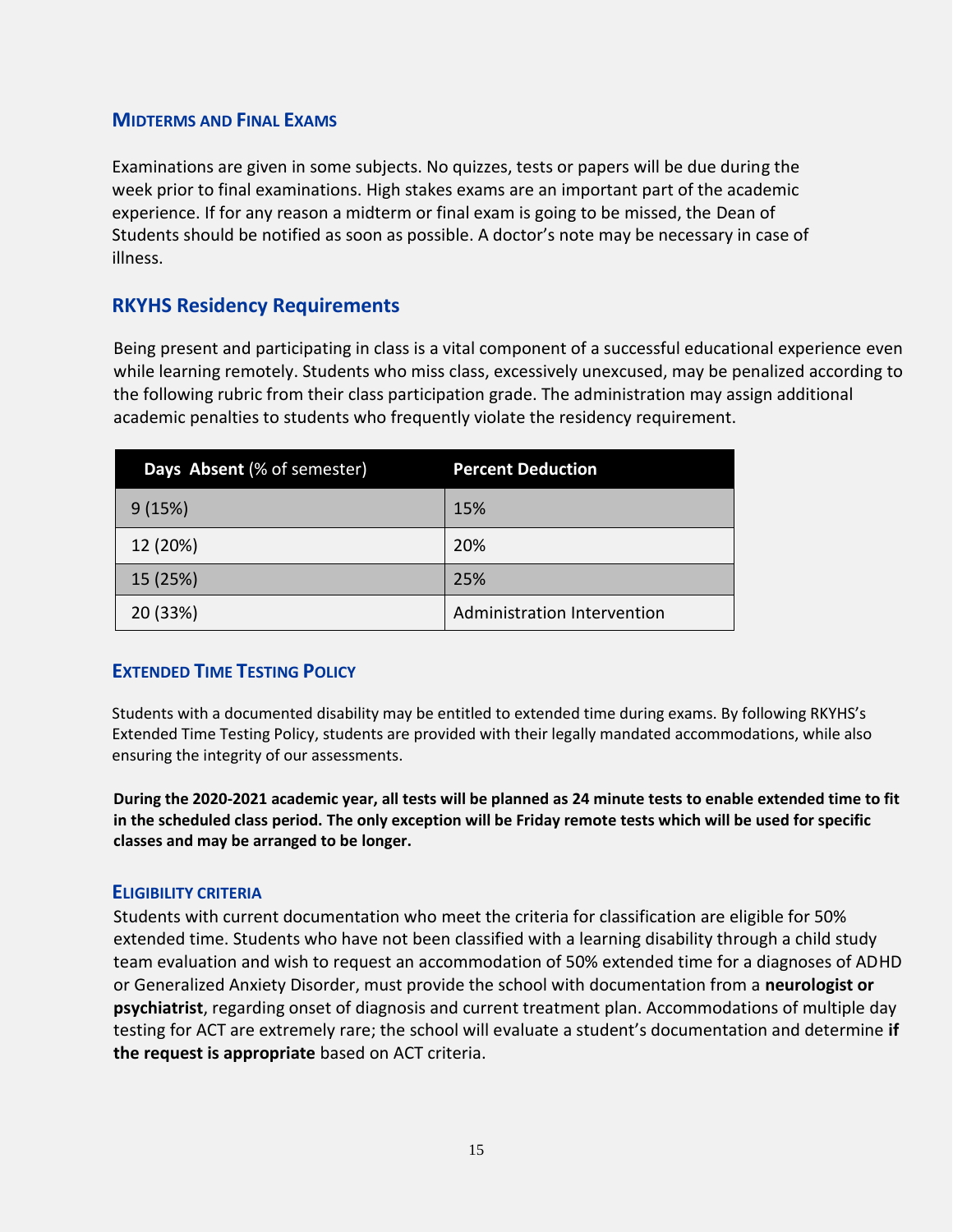#### **MIDTERMS AND FINAL EXAMS**

Examinations are given in some subjects. No quizzes, tests or papers will be due during the week prior to final examinations. High stakes exams are an important part of the academic experience. If for any reason a midterm or final exam is going to be missed, the Dean of Students should be notified as soon as possible. A doctor's note may be necessary in case of illness.

# **RKYHS Residency Requirements**

Being present and participating in class is a vital component of a successful educational experience even while learning remotely. Students who miss class, excessively unexcused, may be penalized according to the following rubric from their class participation grade. The administration may assign additional academic penalties to students who frequently violate the residency requirement.

| Days Absent (% of semester) | <b>Percent Deduction</b>    |
|-----------------------------|-----------------------------|
| 9(15%)                      | 15%                         |
| 12 (20%)                    | 20%                         |
| 15 (25%)                    | 25%                         |
| 20 (33%)                    | Administration Intervention |

# **EXTENDED TIME TESTING POLICY**

Students with a documented disability may be entitled to extended time during exams. By following RKYHS's Extended Time Testing Policy, students are provided with their legally mandated accommodations, while also ensuring the integrity of our assessments.

**During the 2020-2021 academic year, all tests will be planned as 24 minute tests to enable extended time to fit in the scheduled class period. The only exception will be Friday remote tests which will be used for specific classes and may be arranged to be longer.**

#### **ELIGIBILITY CRITERIA**

Students with current documentation who meet the criteria for classification are eligible for 50% extended time. Students who have not been classified with a learning disability through a child study team evaluation and wish to request an accommodation of 50% extended time for a diagnoses of ADHD or Generalized Anxiety Disorder, must provide the school with documentation from a **neurologist or psychiatrist**, regarding onset of diagnosis and current treatment plan. Accommodations of multiple day testing for ACT are extremely rare; the school will evaluate a student's documentation and determine **if the request is appropriate** based on ACT criteria.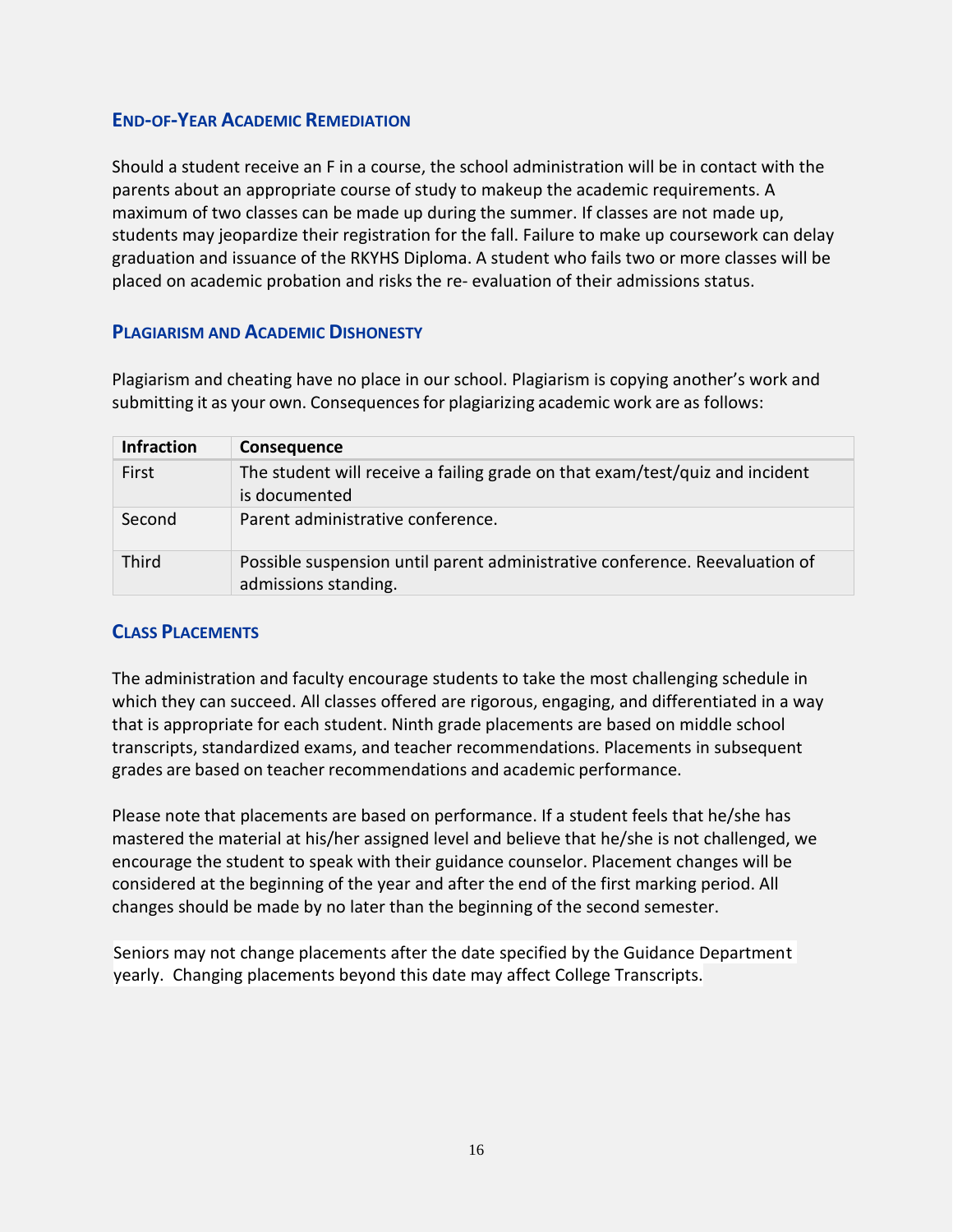# **END-OF-YEAR ACADEMIC REMEDIATION**

Should a student receive an F in a course, the school administration will be in contact with the parents about an appropriate course of study to makeup the academic requirements. A maximum of two classes can be made up during the summer. If classes are not made up, students may jeopardize their registration for the fall. Failure to make up coursework can delay graduation and issuance of the RKYHS Diploma. A student who fails two or more classes will be placed on academic probation and risks the re- evaluation of their admissions status.

# **PLAGIARISM AND ACADEMIC DISHONESTY**

Plagiarism and cheating have no place in our school. Plagiarism is copying another's work and submitting it as your own. Consequences for plagiarizing academic work are as follows:

| <b>Infraction</b> | Consequence                                                                                         |
|-------------------|-----------------------------------------------------------------------------------------------------|
| First             | The student will receive a failing grade on that exam/test/quiz and incident<br>is documented       |
| Second            | Parent administrative conference.                                                                   |
| Third             | Possible suspension until parent administrative conference. Reevaluation of<br>admissions standing. |

# **CLASS PLACEMENTS**

The administration and faculty encourage students to take the most challenging schedule in which they can succeed. All classes offered are rigorous, engaging, and differentiated in a way that is appropriate for each student. Ninth grade placements are based on middle school transcripts, standardized exams, and teacher recommendations. Placements in subsequent grades are based on teacher recommendations and academic performance.

Please note that placements are based on performance. If a student feels that he/she has mastered the material at his/her assigned level and believe that he/she is not challenged, we encourage the student to speak with their guidance counselor. Placement changes will be considered at the beginning of the year and after the end of the first marking period. All changes should be made by no later than the beginning of the second semester.

Seniors may not change placements after the date specified by the Guidance Department yearly. Changing placements beyond this date may affect College Transcripts.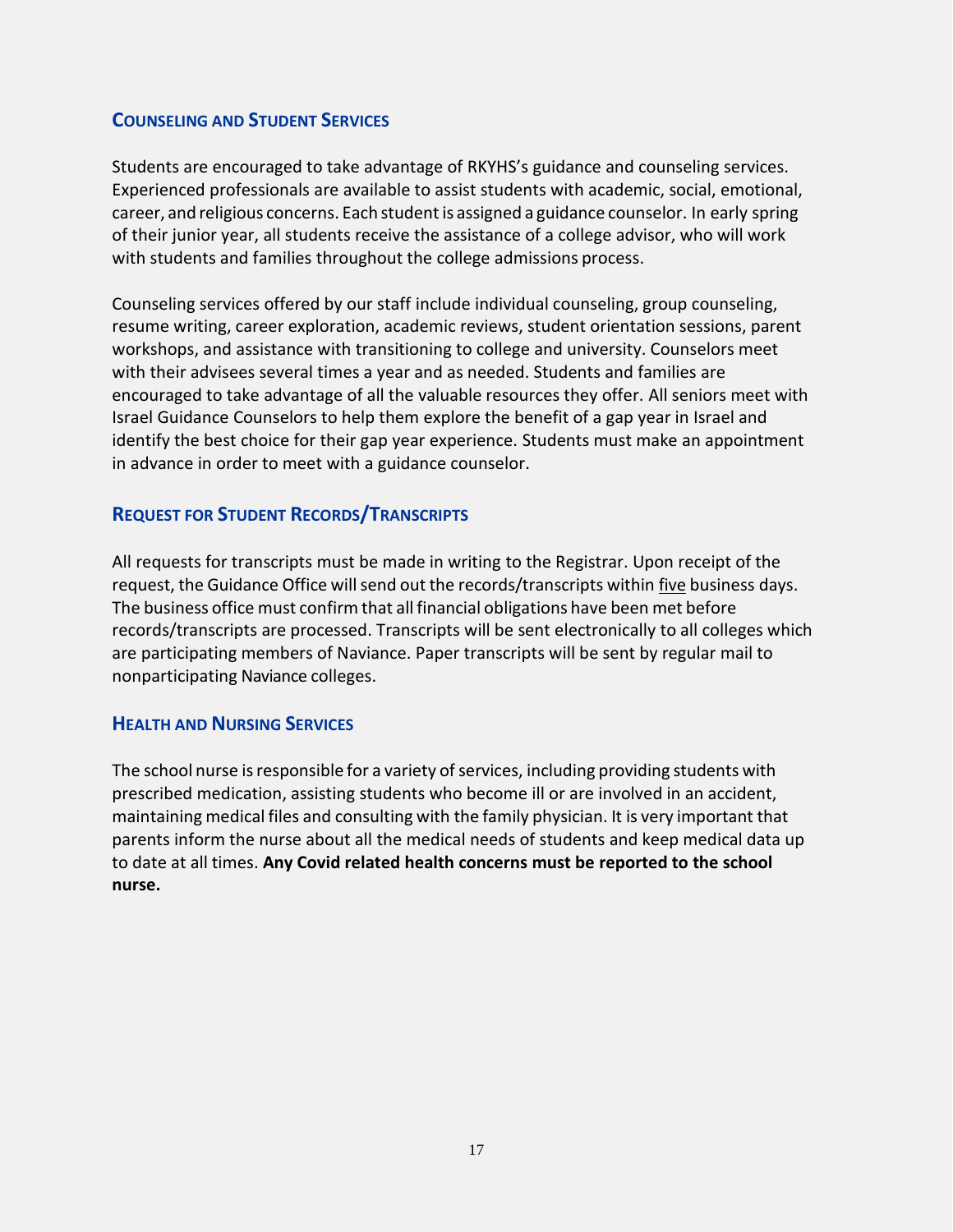# **COUNSELING AND STUDENT SERVICES**

Students are encouraged to take advantage of RKYHS's guidance and counseling services. Experienced professionals are available to assist students with academic, social, emotional, career, and religious concerns. Each studentis assigned a guidance counselor. In early spring of their junior year, all students receive the assistance of a college advisor, who will work with students and families throughout the college admissions process.

Counseling services offered by our staff include individual counseling, group counseling, resume writing, career exploration, academic reviews, student orientation sessions, parent workshops, and assistance with transitioning to college and university. Counselors meet with their advisees several times a year and as needed. Students and families are encouraged to take advantage of all the valuable resources they offer. All seniors meet with Israel Guidance Counselors to help them explore the benefit of a gap year in Israel and identify the best choice for their gap year experience. Students must make an appointment in advance in order to meet with a guidance counselor.

# **REQUEST FOR STUDENT RECORDS/TRANSCRIPTS**

All requests for transcripts must be made in writing to the Registrar. Upon receipt of the request, the Guidance Office will send out the records/transcripts within five business days. The business office must confirm that all financial obligations have been met before records/transcripts are processed. Transcripts will be sent electronically to all colleges which are participating members of Naviance. Paper transcripts will be sent by regular mail to nonparticipating Naviance colleges.

# **HEALTH AND NURSING SERVICES**

The school nurse is responsible for a variety of services, including providing students with prescribed medication, assisting students who become ill or are involved in an accident, maintaining medical files and consulting with the family physician. It is very important that parents inform the nurse about all the medical needs of students and keep medical data up to date at all times. **Any Covid related health concerns must be reported to the school nurse.**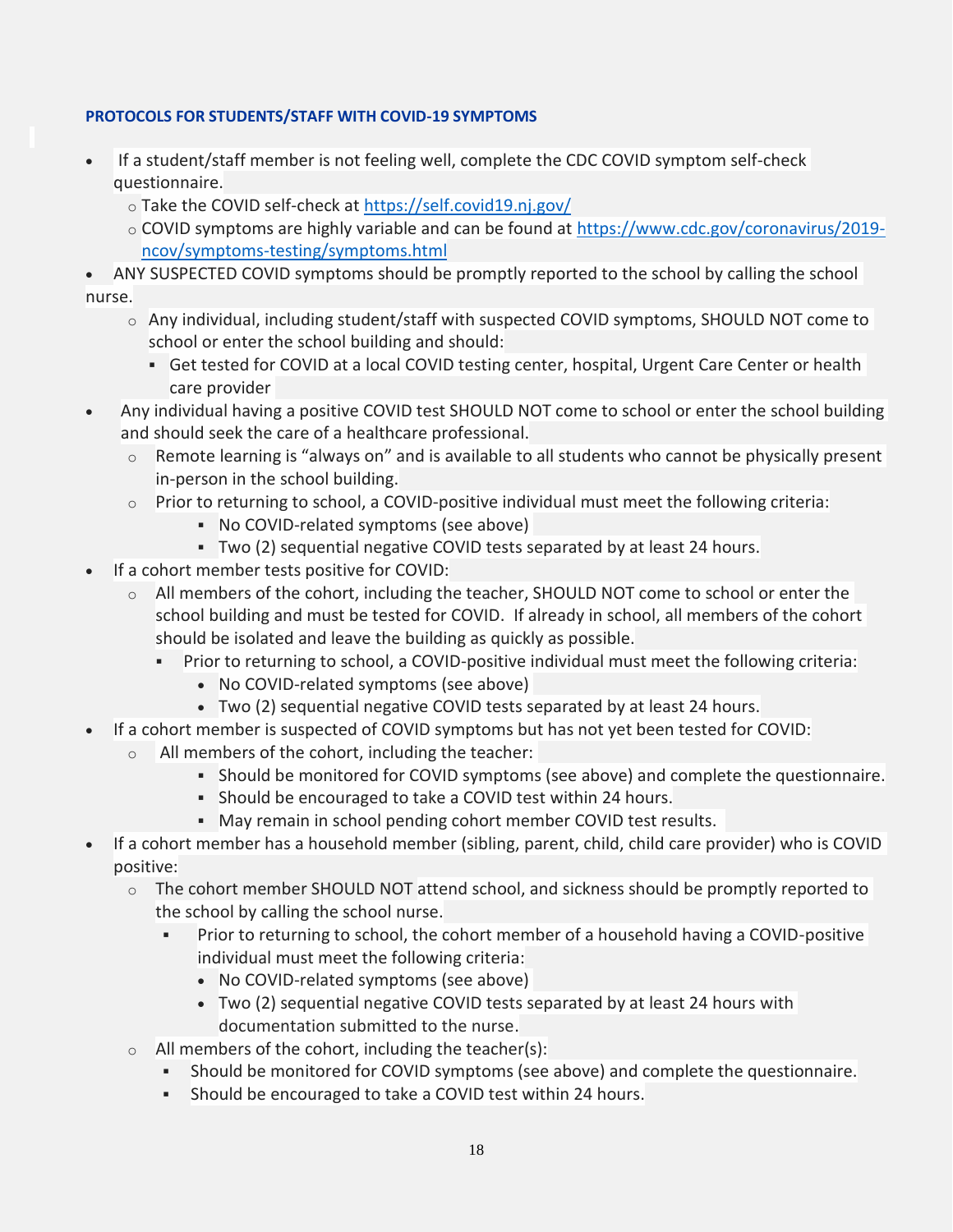### **PROTOCOLS FOR STUDENTS/STAFF WITH COVID-19 SYMPTOMS**

- If a student/staff member is not feeling well, complete the CDC COVID symptom self-check questionnaire.
	- o Take the COVID self-check at<https://self.covid19.nj.gov/>
	- o COVID symptoms are highly variable and can be found at [https://www.cdc.gov/coronavirus/2019](https://www.cdc.gov/coronavirus/2019-ncov/symptoms-testing/symptoms.html) [ncov/symptoms-testing/symptoms.html](https://www.cdc.gov/coronavirus/2019-ncov/symptoms-testing/symptoms.html)
- ANY SUSPECTED COVID symptoms should be promptly reported to the school by calling the school nurse.
	- $\circ$  Any individual, including student/staff with suspected COVID symptoms, SHOULD NOT come to school or enter the school building and should:
		- **Get tested for COVID at a local COVID testing center, hospital, Urgent Care Center or health** care provider
- Any individual having a positive COVID test SHOULD NOT come to school or enter the school building and should seek the care of a healthcare professional.
	- $\circ$  Remote learning is "always on" and is available to all students who cannot be physically present in-person in the school building.
	- $\circ$  Prior to returning to school, a COVID-positive individual must meet the following criteria:
		- No COVID-related symptoms (see above)
		- Two (2) sequential negative COVID tests separated by at least 24 hours.
- If a cohort member tests positive for COVID:
	- o All members of the cohort, including the teacher, SHOULD NOT come to school or enter the school building and must be tested for COVID. If already in school, all members of the cohort should be isolated and leave the building as quickly as possible.
		- Prior to returning to school, a COVID-positive individual must meet the following criteria:
			- No COVID-related symptoms (see above)
			- Two (2) sequential negative COVID tests separated by at least 24 hours.
- If a cohort member is suspected of COVID symptoms but has not yet been tested for COVID:
	- o All members of the cohort, including the teacher:
		- Should be monitored for COVID symptoms (see above) and complete the questionnaire.
		- Should be encouraged to take a COVID test within 24 hours.
		- May remain in school pending cohort member COVID test results.
- If a cohort member has a household member (sibling, parent, child, child care provider) who is COVID positive:
	- o The cohort member SHOULD NOT attend school, and sickness should be promptly reported to the school by calling the school nurse.
		- Prior to returning to school, the cohort member of a household having a COVID-positive individual must meet the following criteria:
			- No COVID-related symptoms (see above)
			- Two (2) sequential negative COVID tests separated by at least 24 hours with documentation submitted to the nurse.
	- o All members of the cohort, including the teacher(s):
		- Should be monitored for COVID symptoms (see above) and complete the questionnaire.
		- Should be encouraged to take a COVID test within 24 hours.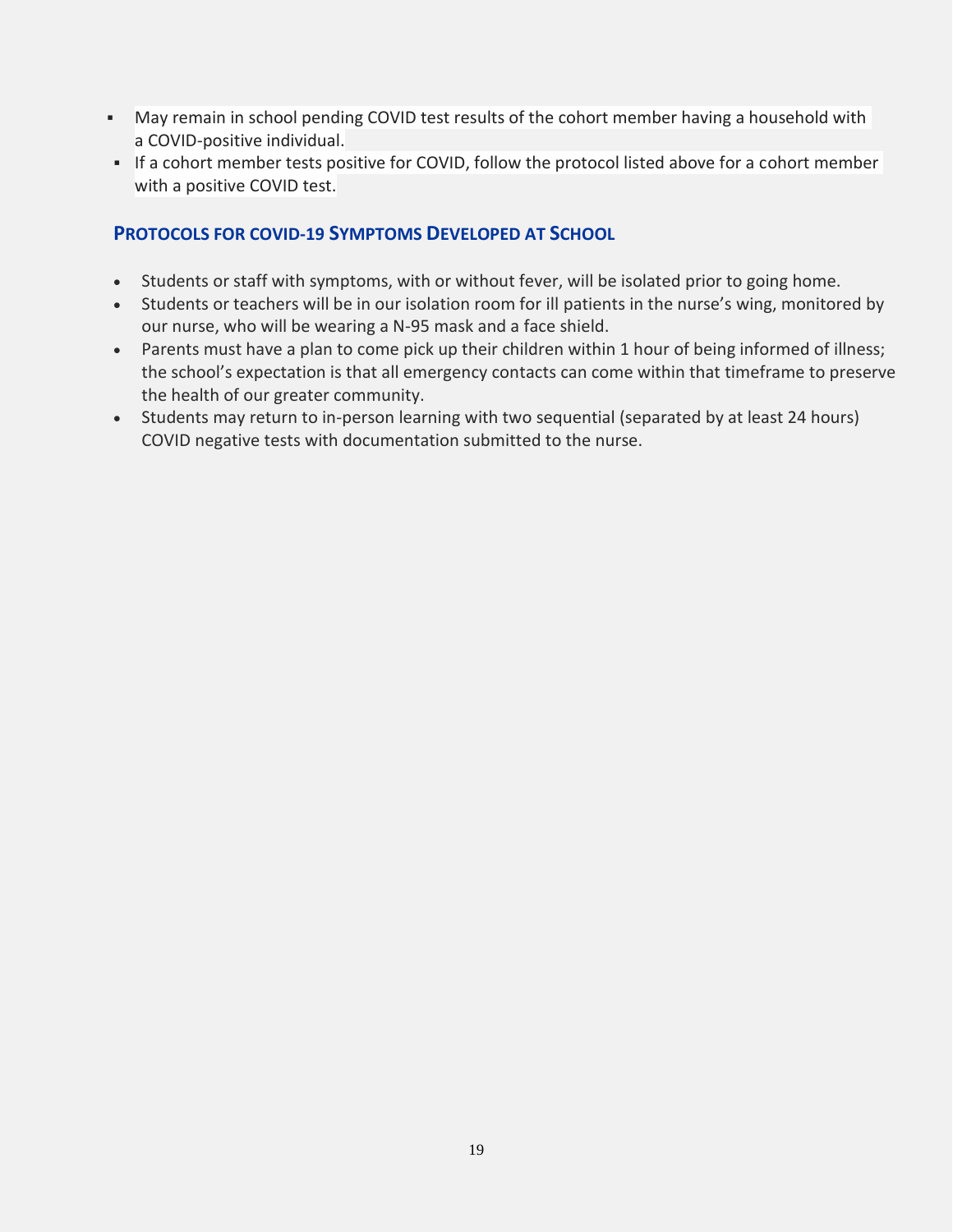- May remain in school pending COVID test results of the cohort member having a household with a COVID-positive individual.
- **.** If a cohort member tests positive for COVID, follow the protocol listed above for a cohort member with a positive COVID test.

# **PROTOCOLS FOR COVID-19 SYMPTOMS DEVELOPED AT SCHOOL**

- Students or staff with symptoms, with or without fever, will be isolated prior to going home.
- Students or teachers will be in our isolation room for ill patients in the nurse's wing, monitored by our nurse, who will be wearing a N-95 mask and a face shield.
- Parents must have a plan to come pick up their children within 1 hour of being informed of illness; the school's expectation is that all emergency contacts can come within that timeframe to preserve the health of our greater community.
- Students may return to in-person learning with two sequential (separated by at least 24 hours) COVID negative tests with documentation submitted to the nurse.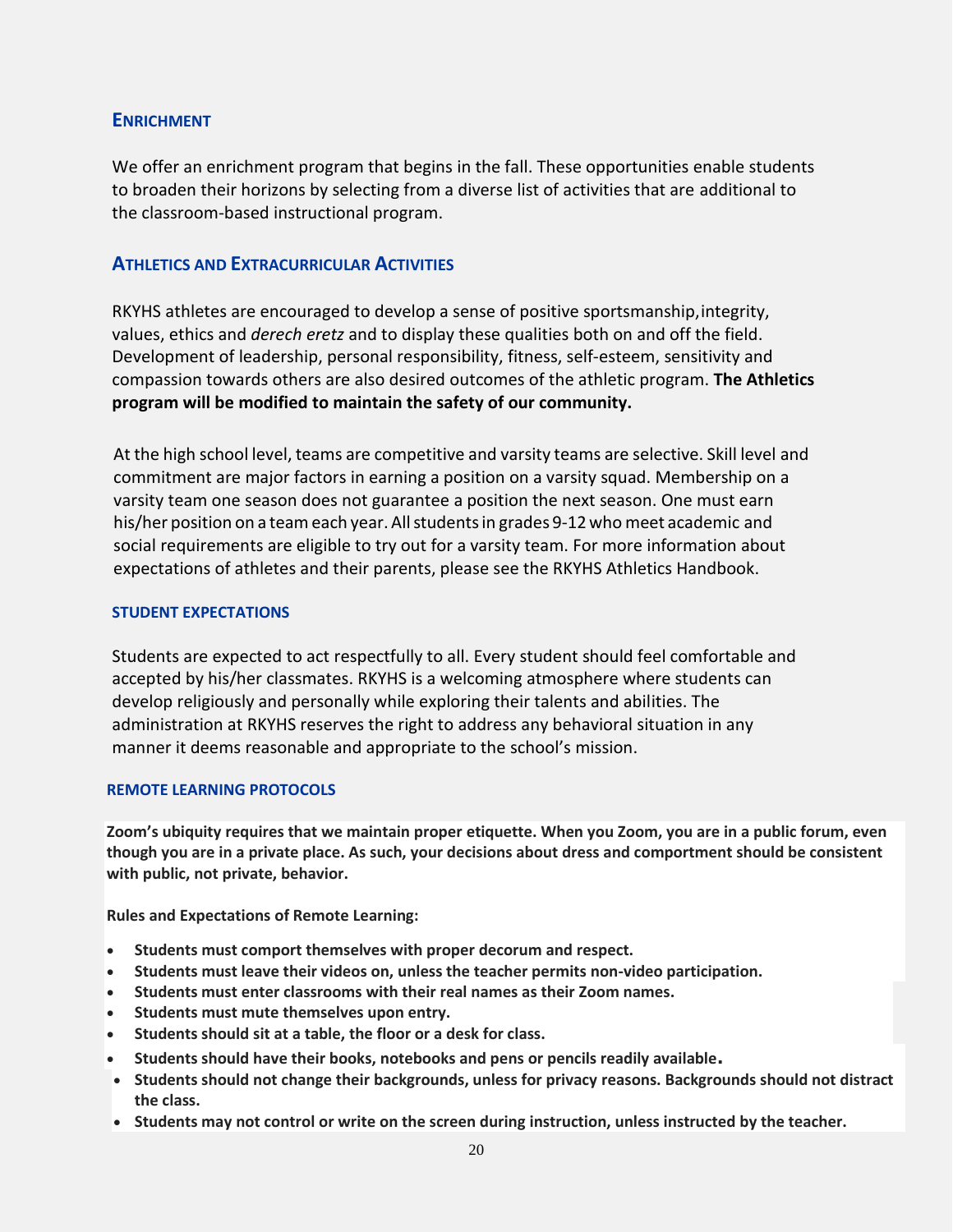#### **ENRICHMENT**

We offer an enrichment program that begins in the fall. These opportunities enable students to broaden their horizons by selecting from a diverse list of activities that are additional to the classroom-based instructional program.

### **ATHLETICS AND EXTRACURRICULAR ACTIVITIES**

RKYHS athletes are encouraged to develop a sense of positive sportsmanship,integrity, values, ethics and *derech eretz* and to display these qualities both on and off the field. Development of leadership, personal responsibility, fitness, self-esteem, sensitivity and compassion towards others are also desired outcomes of the athletic program. **The Athletics program will be modified to maintain the safety of our community.** 

At the high school level, teams are competitive and varsity teams are selective. Skill level and commitment are major factors in earning a position on a varsity squad. Membership on a varsity team one season does not guarantee a position the next season. One must earn his/her position on a team each year. Allstudentsin grades 9-12 who meet academic and social requirements are eligible to try out for a varsity team. For more information about expectations of athletes and their parents, please see the RKYHS Athletics Handbook.

#### <span id="page-19-0"></span>**STUDENT EXPECTATIONS**

Students are expected to act respectfully to all. Every student should feel comfortable and accepted by his/her classmates. RKYHS is a welcoming atmosphere where students can develop religiously and personally while exploring their talents and abilities. The administration at RKYHS reserves the right to address any behavioral situation in any manner it deems reasonable and appropriate to the school's mission.

#### **REMOTE LEARNING PROTOCOLS**

**Zoom's ubiquity requires that we maintain proper etiquette. When you Zoom, you are in a public forum, even though you are in a private place. As such, your decisions about dress and comportment should be consistent with public, not private, behavior.**

**Rules and Expectations of Remote Learning:**

- **Students must comport themselves with proper decorum and respect.**
- **Students must leave their videos on, unless the teacher permits non-video participation.**
- **Students must enter classrooms with their real names as their Zoom names.**
- **Students must mute themselves upon entry.**
- **Students should sit at a table, the floor or a desk for class.**
- **Students should have their books, notebooks and pens or pencils readily available.**
- **Students should not change their backgrounds, unless for privacy reasons. Backgrounds should not distract the class.**
- **Students may not control or write on the screen during instruction, unless instructed by the teacher.**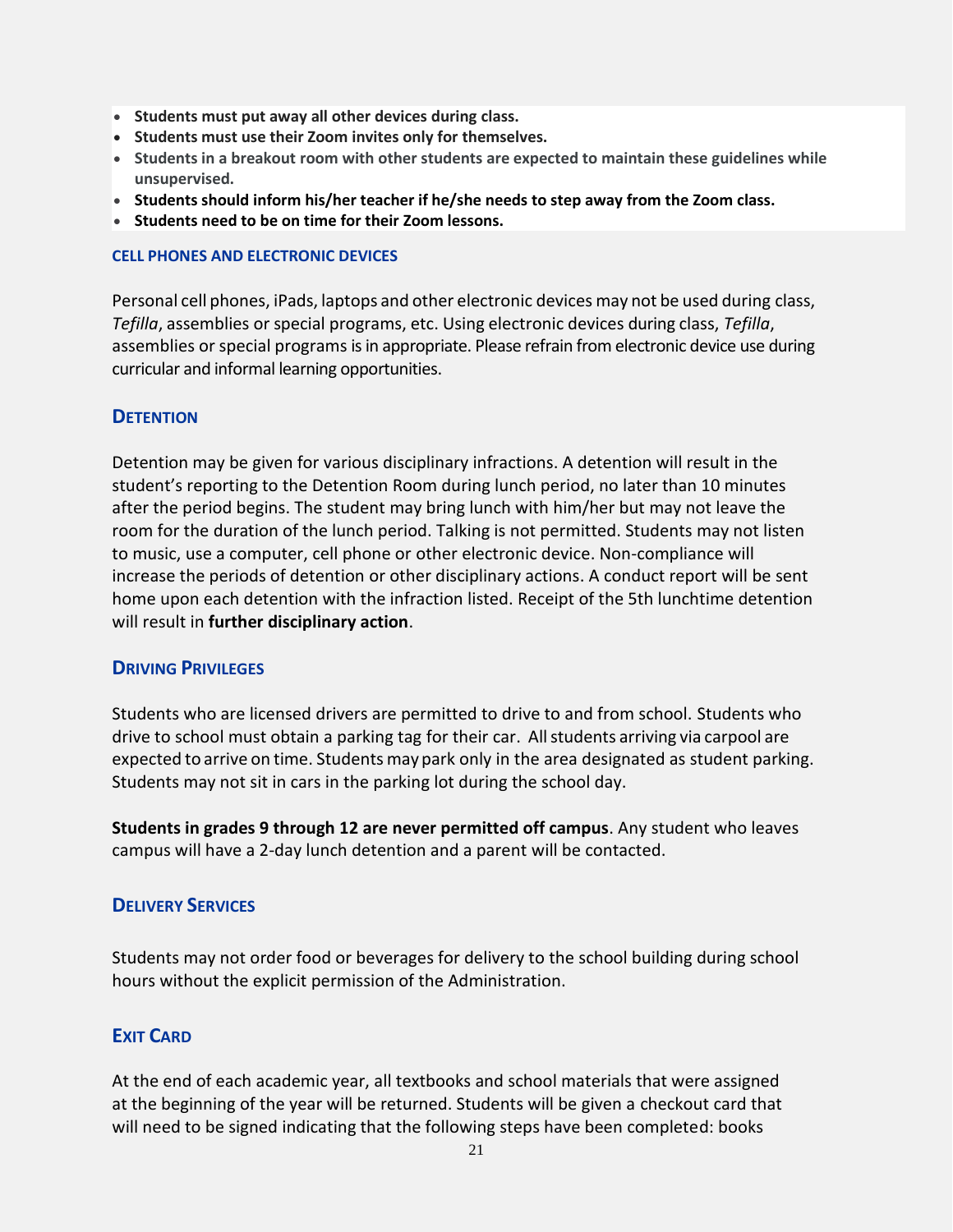- **Students must put away all other devices during class.**
- **Students must use their Zoom invites only for themselves.**
- **Students in a breakout room with other students are expected to maintain these guidelines while unsupervised.**
- **Students should inform his/her teacher if he/she needs to step away from the Zoom class.**
- **Students need to be on time for their Zoom lessons.**

#### **CELL PHONES AND ELECTRONIC DEVICES**

Personal cell phones, iPads, laptops and other electronic devices may not be used during class, *Tefilla*, assemblies or special programs, etc. Using electronic devices during class, *Tefilla*, assemblies or special programs is in appropriate. Please refrain from electronic device use during curricular and informal learning opportunities.

#### **DETENTION**

Detention may be given for various disciplinary infractions. A detention will result in the student's reporting to the Detention Room during lunch period, no later than 10 minutes after the period begins. The student may bring lunch with him/her but may not leave the room for the duration of the lunch period. Talking is not permitted. Students may not listen to music, use a computer, cell phone or other electronic device. Non-compliance will increase the periods of detention or other disciplinary actions. A conduct report will be sent home upon each detention with the infraction listed. Receipt of the 5th lunchtime detention will result in **further disciplinary action**.

#### **DRIVING PRIVILEGES**

Students who are licensed drivers are permitted to drive to and from school. Students who drive to school must obtain a parking tag for their car. Allstudents arriving via carpool are expected to arrive on time. Students maypark only in the area designated as student parking. Students may not sit in cars in the parking lot during the school day.

**Students in grades 9 through 12 are never permitted off campus**. Any student who leaves campus will have a 2-day lunch detention and a parent will be contacted.

#### **DELIVERY SERVICES**

Students may not order food or beverages for delivery to the school building during school hours without the explicit permission of the Administration.

#### **EXIT CARD**

At the end of each academic year, all textbooks and school materials that were assigned at the beginning of the year will be returned. Students will be given a checkout card that will need to be signed indicating that the following steps have been completed: books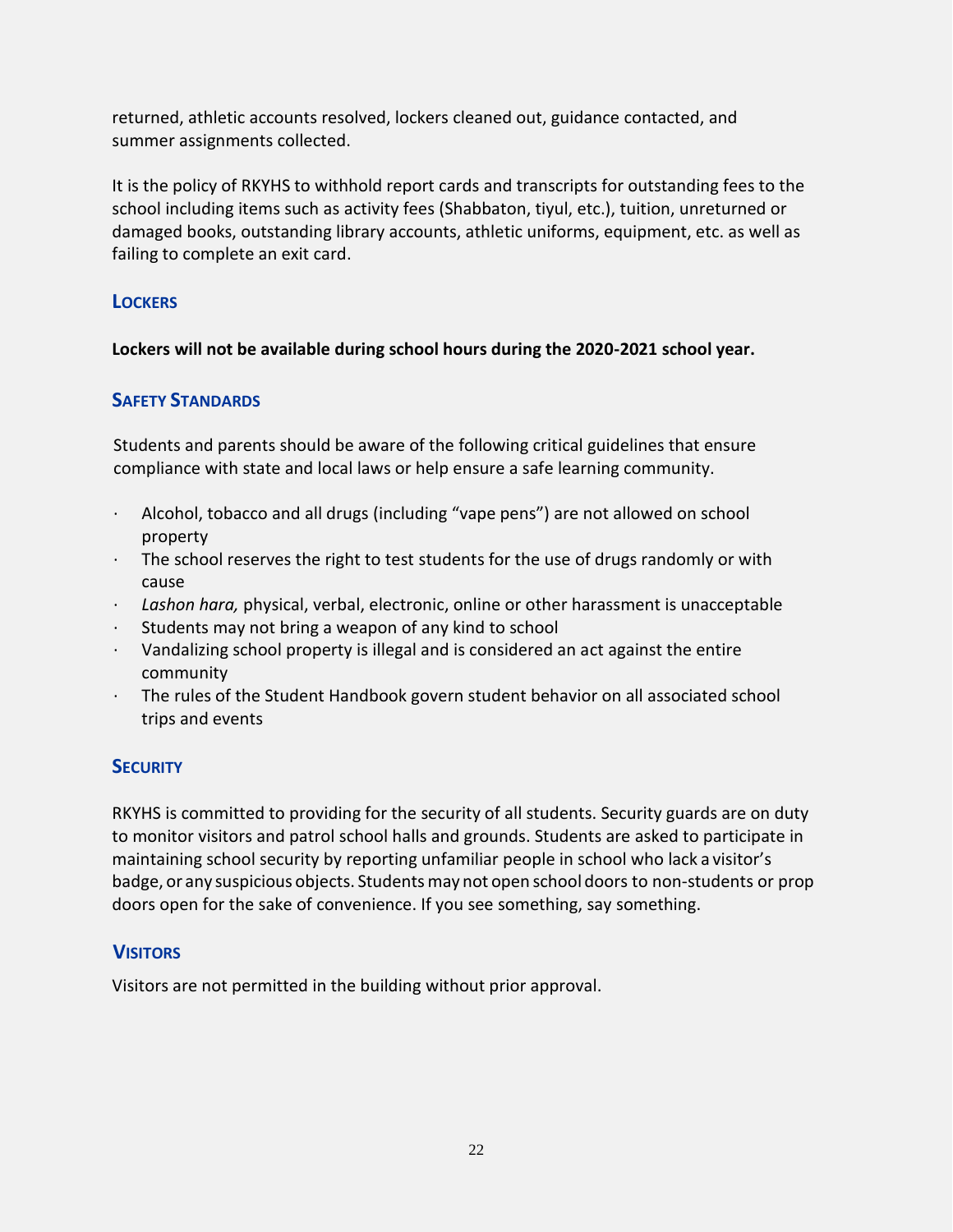returned, athletic accounts resolved, lockers cleaned out, guidance contacted, and summer assignments collected.

It is the policy of RKYHS to withhold report cards and transcripts for outstanding fees to the school including items such as activity fees (Shabbaton, tiyul, etc.), tuition, unreturned or damaged books, outstanding library accounts, athletic uniforms, equipment, etc. as well as failing to complete an exit card.

# **LOCKERS**

**Lockers will not be available during school hours during the 2020-2021 school year.** 

# **SAFETY STANDARDS**

Students and parents should be aware of the following critical guidelines that ensure compliance with state and local laws or help ensure a safe learning community.

- · Alcohol, tobacco and all drugs (including "vape pens") are not allowed on school property
- $\cdot$  The school reserves the right to test students for the use of drugs randomly or with cause
- · *Lashon hara,* physical, verbal, electronic, online or other harassment is unacceptable
- · Students may not bring a weapon of any kind to school
- · Vandalizing school property is illegal and is considered an act against the entire community
- · The rules of the Student Handbook govern student behavior on all associated school trips and events

# **SECURITY**

RKYHS is committed to providing for the security of all students. Security guards are on duty to monitor visitors and patrol school halls and grounds. Students are asked to participate in maintaining school security by reporting unfamiliar people in school who lack a visitor's badge, or any suspicious objects. Studentsmay not open school doors to non-students or prop doors open for the sake of convenience. If you see something, say something.

# **VISITORS**

Visitors are not permitted in the building without prior approval.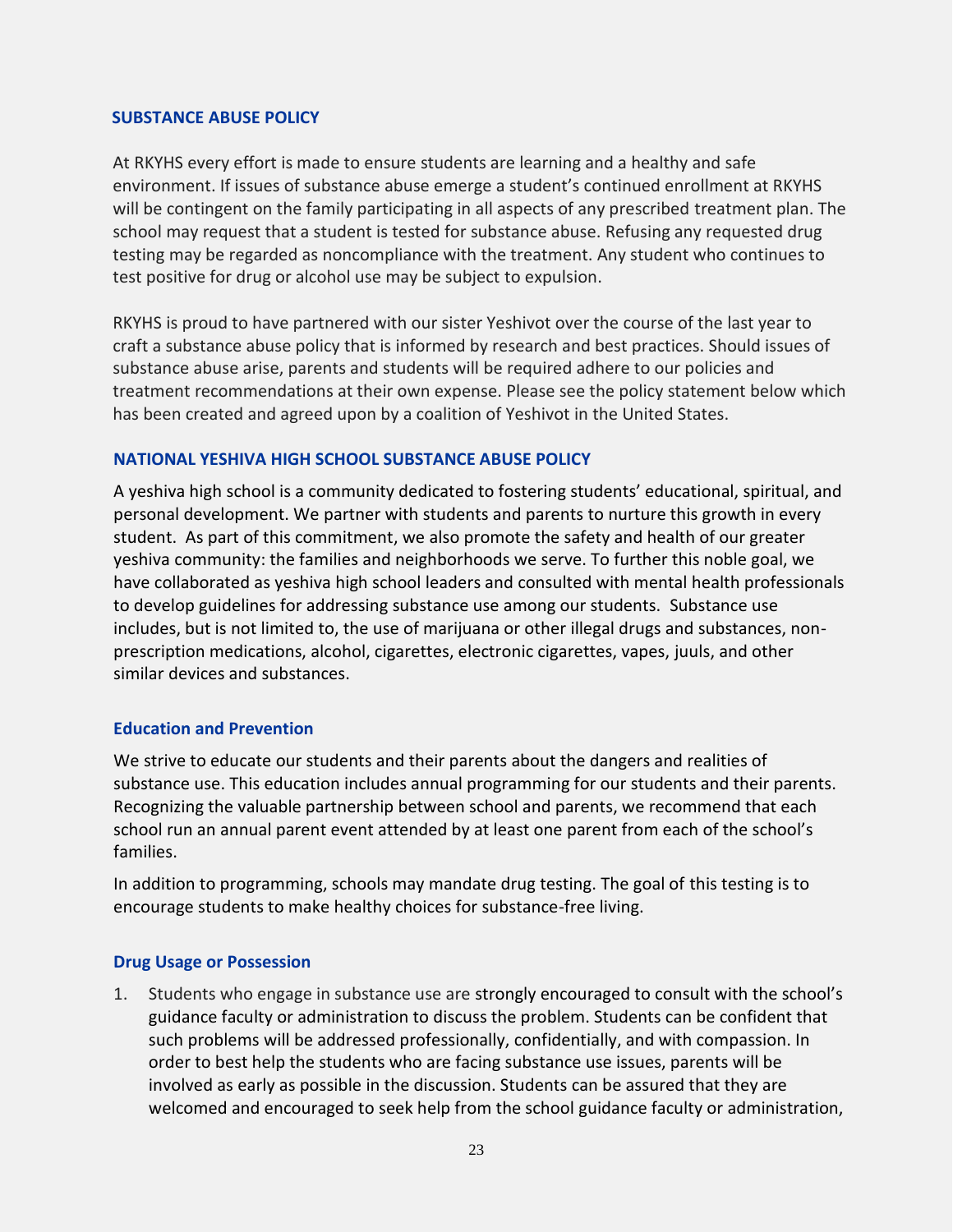#### **SUBSTANCE ABUSE POLICY**

At RKYHS every effort is made to ensure students are learning and a healthy and safe environment. If issues of substance abuse emerge a student's continued enrollment at RKYHS will be contingent on the family participating in all aspects of any prescribed treatment plan. The school may request that a student is tested for substance abuse. Refusing any requested drug testing may be regarded as noncompliance with the treatment. Any student who continues to test positive for drug or alcohol use may be subject to expulsion.

RKYHS is proud to have partnered with our sister Yeshivot over the course of the last year to craft a substance abuse policy that is informed by research and best practices. Should issues of substance abuse arise, parents and students will be required adhere to our policies and treatment recommendations at their own expense. Please see the policy statement below which has been created and agreed upon by a coalition of Yeshivot in the United States.

#### **NATIONAL YESHIVA HIGH SCHOOL SUBSTANCE ABUSE POLICY**

A yeshiva high school is a community dedicated to fostering students' educational, spiritual, and personal development. We partner with students and parents to nurture this growth in every student. As part of this commitment, we also promote the safety and health of our greater yeshiva community: the families and neighborhoods we serve. To further this noble goal, we have collaborated as yeshiva high school leaders and consulted with mental health professionals to develop guidelines for addressing substance use among our students. Substance use includes, but is not limited to, the use of marijuana or other illegal drugs and substances, nonprescription medications, alcohol, cigarettes, electronic cigarettes, vapes, juuls, and other similar devices and substances.

#### **Education and Prevention**

We strive to educate our students and their parents about the dangers and realities of substance use. This education includes annual programming for our students and their parents. Recognizing the valuable partnership between school and parents, we recommend that each school run an annual parent event attended by at least one parent from each of the school's families.

In addition to programming, schools may mandate drug testing. The goal of this testing is to encourage students to make healthy choices for substance-free living.

#### **Drug Usage or Possession**

1. Students who engage in substance use are strongly encouraged to consult with the school's guidance faculty or administration to discuss the problem. Students can be confident that such problems will be addressed professionally, confidentially, and with compassion. In order to best help the students who are facing substance use issues, parents will be involved as early as possible in the discussion. Students can be assured that they are welcomed and encouraged to seek help from the school guidance faculty or administration,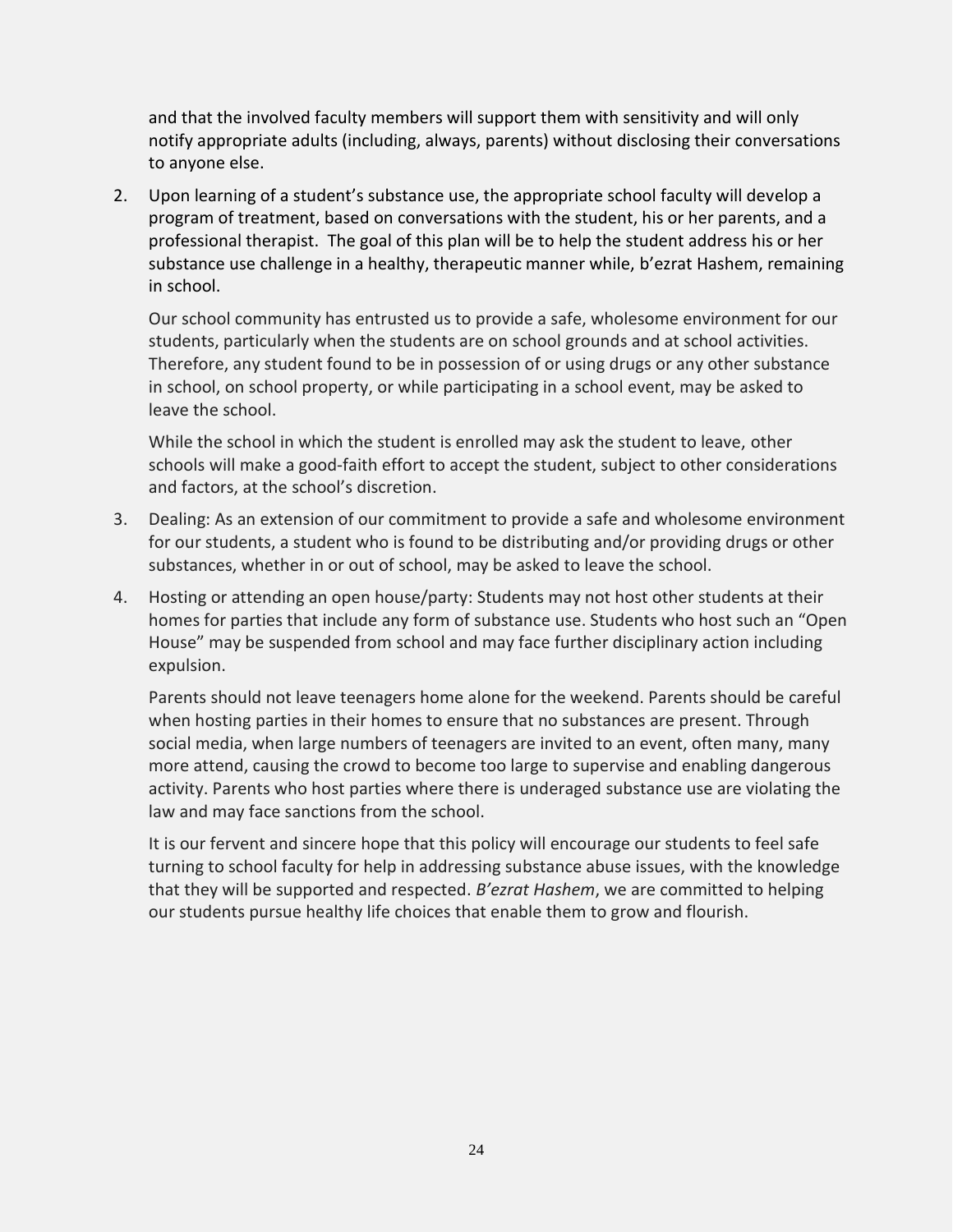and that the involved faculty members will support them with sensitivity and will only notify appropriate adults (including, always, parents) without disclosing their conversations to anyone else.

2. Upon learning of a student's substance use, the appropriate school faculty will develop a program of treatment, based on conversations with the student, his or her parents, and a professional therapist. The goal of this plan will be to help the student address his or her substance use challenge in a healthy, therapeutic manner while, b'ezrat Hashem, remaining in school.

Our school community has entrusted us to provide a safe, wholesome environment for our students, particularly when the students are on school grounds and at school activities. Therefore, any student found to be in possession of or using drugs or any other substance in school, on school property, or while participating in a school event, may be asked to leave the school.

While the school in which the student is enrolled may ask the student to leave, other schools will make a good-faith effort to accept the student, subject to other considerations and factors, at the school's discretion.

- 3. Dealing: As an extension of our commitment to provide a safe and wholesome environment for our students, a student who is found to be distributing and/or providing drugs or other substances, whether in or out of school, may be asked to leave the school.
- 4. Hosting or attending an open house/party: Students may not host other students at their homes for parties that include any form of substance use. Students who host such an "Open House" may be suspended from school and may face further disciplinary action including expulsion.

Parents should not leave teenagers home alone for the weekend. Parents should be careful when hosting parties in their homes to ensure that no substances are present. Through social media, when large numbers of teenagers are invited to an event, often many, many more attend, causing the crowd to become too large to supervise and enabling dangerous activity. Parents who host parties where there is underaged substance use are violating the law and may face sanctions from the school.

It is our fervent and sincere hope that this policy will encourage our students to feel safe turning to school faculty for help in addressing substance abuse issues, with the knowledge that they will be supported and respected. *B'ezrat Hashem*, we are committed to helping our students pursue healthy life choices that enable them to grow and flourish.